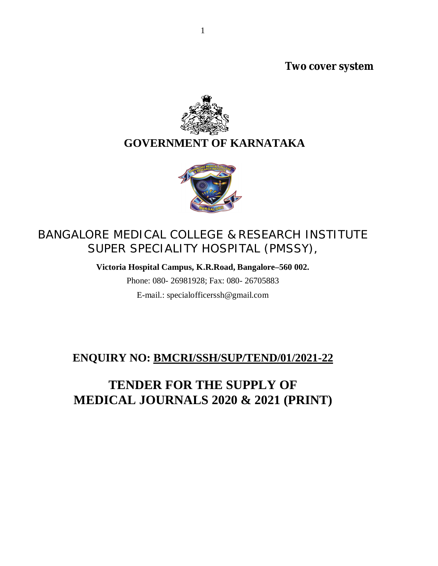**Two cover system**





# BANGALORE MEDICAL COLLEGE & RESEARCH INSTITUTE SUPER SPECIALITY HOSPITAL (PMSSY),

**Victoria Hospital Campus, K.R.Road, Bangalore–560 002.**

Phone: 080- 26981928; Fax: 080- 26705883 E-mail.: [specialofficerssh@gmail.com](mailto:specialofficerssh@gmail.com)

# **ENQUIRY NO: BMCRI/SSH/SUP/TEND/01/2021-22**

# **TENDER FOR THE SUPPLY OF MEDICAL JOURNALS 2020 & 2021 (PRINT)**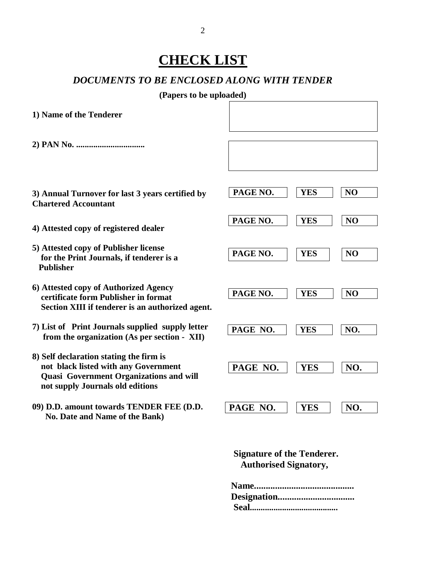# **CHECK LIST**

# *DOCUMENTS TO BE ENCLOSED ALONG WITH TENDER*

**(Papers to be uploaded)**

| 1) Name of the Tenderer                                                                                                                                               |                                   |            |                |
|-----------------------------------------------------------------------------------------------------------------------------------------------------------------------|-----------------------------------|------------|----------------|
|                                                                                                                                                                       |                                   |            |                |
|                                                                                                                                                                       |                                   |            |                |
| 3) Annual Turnover for last 3 years certified by<br><b>Chartered Accountant</b>                                                                                       | PAGE NO.                          | <b>YES</b> | NO             |
| 4) Attested copy of registered dealer                                                                                                                                 | PAGE NO.                          | <b>YES</b> | NO             |
| 5) Attested copy of Publisher license<br>for the Print Journals, if tenderer is a<br><b>Publisher</b>                                                                 | PAGE NO.                          | <b>YES</b> | N <sub>O</sub> |
| 6) Attested copy of Authorized Agency<br>certificate form Publisher in format<br>Section XIII if tenderer is an authorized agent.                                     | PAGE NO.                          | <b>YES</b> | N <sub>O</sub> |
| 7) List of Print Journals supplied supply letter<br>from the organization (As per section - XII)                                                                      | PAGE NO.                          | <b>YES</b> | NO.            |
| 8) Self declaration stating the firm is<br>not black listed with any Government<br><b>Quasi Government Organizations and will</b><br>not supply Journals old editions | PAGE NO.                          | <b>YES</b> | NO.            |
| 09) D.D. amount towards TENDER FEE (D.D.<br>No. Date and Name of the Bank)                                                                                            | PAGE NO.                          | <b>YES</b> | NO.            |
|                                                                                                                                                                       | <b>Signature of the Tenderer.</b> |            |                |

**Authorised Signatory,**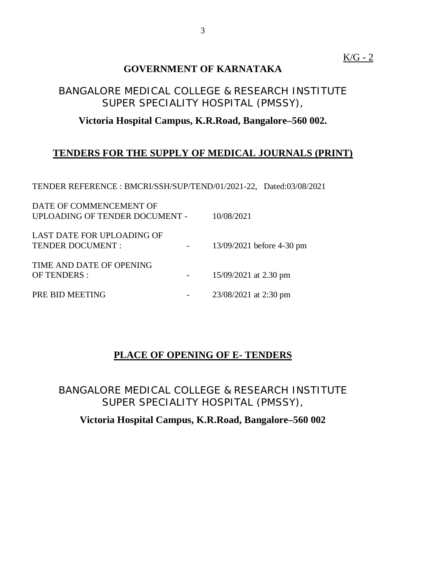## $K/G - 2$

## **GOVERNMENT OF KARNATAKA**

# BANGALORE MEDICAL COLLEGE & RESEARCH INSTITUTE SUPER SPECIALITY HOSPITAL (PMSSY),

## **Victoria Hospital Campus, K.R.Road, Bangalore–560 002.**

## **TENDERS FOR THE SUPPLY OF MEDICAL JOURNALS (PRINT)**

TENDER REFERENCE : BMCRI/SSH/SUP/TEND/01/2021-22, Dated:03/08/2021

| 10/08/2021                |
|---------------------------|
|                           |
| 13/09/2021 before 4-30 pm |
|                           |
| 15/09/2021 at 2.30 pm     |
| 23/08/2021 at 2:30 pm     |
|                           |

## **PLACE OF OPENING OF E- TENDERS**

BANGALORE MEDICAL COLLEGE & RESEARCH INSTITUTE SUPER SPECIALITY HOSPITAL (PMSSY),

**Victoria Hospital Campus, K.R.Road, Bangalore–560 002**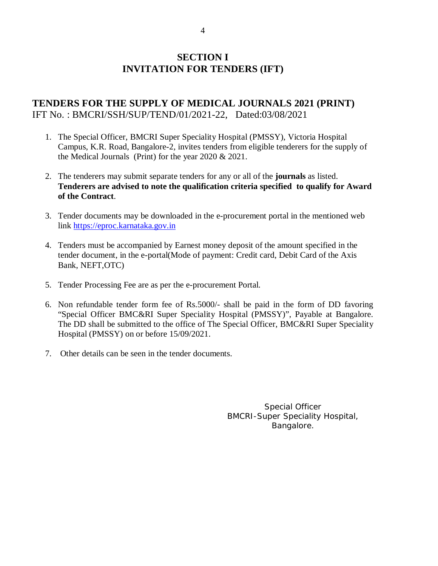## **SECTION I INVITATION FOR TENDERS (IFT)**

## **TENDERS FOR THE SUPPLY OF MEDICAL JOURNALS 2021 (PRINT)** IFT No. : BMCRI/SSH/SUP/TEND/01/2021-22, Dated:03/08/2021

- 1. The Special Officer, BMCRI Super Speciality Hospital (PMSSY), Victoria Hospital Campus, K.R. Road, Bangalore-2*,* invites tenders from eligible tenderers for the supply of the Medical Journals (Print) for the year 2020 & 2021.
- 2. The tenderers may submit separate tenders for any or all of the **journals** as listed. **Tenderers are advised to note the qualification criteria specified to qualify for Award of the Contract**.
- 3. Tender documents may be downloaded in the e-procurement portal in the mentioned web link <https://eproc.karnataka.gov.in>
- 4. Tenders must be accompanied by Earnest money deposit of the amount specified in the tender document, in the e-portal(Mode of payment: Credit card, Debit Card of the Axis Bank, NEFT,OTC)
- 5. Tender Processing Fee are as per the e-procurement Portal.
- 6. Non refundable tender form fee of Rs.5000/- shall be paid in the form of DD favoring "Special Officer BMC&RI Super Speciality Hospital (PMSSY)", Payable at Bangalore. The DD shall be submitted to the office of The Special Officer, BMC&RI Super Speciality Hospital (PMSSY) on or before 15/09/2021.
- 7. Other details can be seen in the tender documents.

Special Officer BMCRI-Super Speciality Hospital, Bangalore.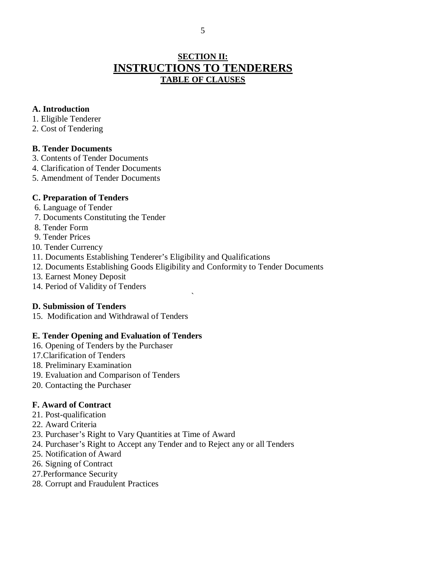## **SECTION II: INSTRUCTIONS TO TENDERERS TABLE OF CLAUSES**

#### **A. Introduction**

- 1. Eligible Tenderer
- 2. Cost of Tendering

#### **B. Tender Documents**

- 3. Contents of Tender Documents
- 4. Clarification of Tender Documents
- 5. Amendment of Tender Documents

#### **C. Preparation of Tenders**

- 6. Language of Tender
- 7. Documents Constituting the Tender
- 8. Tender Form
- 9. Tender Prices
- 10. Tender Currency
- 11. Documents Establishing Tenderer's Eligibility and Qualifications
- 12. Documents Establishing Goods Eligibility and Conformity to Tender Documents

 $\sum_{i=1}^n \alpha_i$ 

- 13. Earnest Money Deposit
- 14. Period of Validity of Tenders

#### **D. Submission of Tenders**

15. Modification and Withdrawal of Tenders

#### **E. Tender Opening and Evaluation of Tenders**

- 16. Opening of Tenders by the Purchaser
- 17.Clarification of Tenders
- 18. Preliminary Examination
- 19. Evaluation and Comparison of Tenders
- 20. Contacting the Purchaser

#### **F. Award of Contract**

- 21. Post-qualification
- 22. Award Criteria
- 23. Purchaser's Right to Vary Quantities at Time of Award
- 24. Purchaser's Right to Accept any Tender and to Reject any or all Tenders
- 25. Notification of Award
- 26. Signing of Contract
- 27.Performance Security
- 28. Corrupt and Fraudulent Practices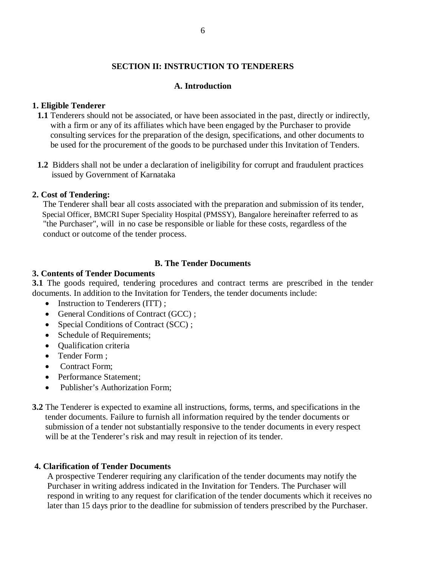## **SECTION II: INSTRUCTION TO TENDERERS**

#### **A. Introduction**

#### **1. Eligible Tenderer**

- **1.1** Tenderers should not be associated, or have been associated in the past, directly or indirectly, with a firm or any of its affiliates which have been engaged by the Purchaser to provide consulting services for the preparation of the design, specifications, and other documents to be used for the procurement of the goods to be purchased under this Invitation of Tenders.
- **1.2** Bidders shall not be under a declaration of ineligibility for corrupt and fraudulent practices issued by Government of Karnataka

#### **2. Cost of Tendering:**

 The Tenderer shall bear all costs associated with the preparation and submission of its tender, Special Officer, BMCRI Super Speciality Hospital (PMSSY), Bangalore hereinafter referred to as "the Purchaser", will in no case be responsible or liable for these costs, regardless of the conduct or outcome of the tender process.

#### **B. The Tender Documents**

#### **3. Contents of Tender Documents**

**3.1** The goods required, tendering procedures and contract terms are prescribed in the tender documents. In addition to the Invitation for Tenders, the tender documents include:

- Instruction to Tenderers (ITT) ;
- General Conditions of Contract (GCC);
- Special Conditions of Contract (SCC);
- Schedule of Requirements;
- Qualification criteria
- Tender Form :
- Contract Form:
- Performance Statement;
- Publisher's Authorization Form;
- **3.2** The Tenderer is expected to examine all instructions, forms, terms, and specifications in the tender documents. Failure to furnish all information required by the tender documents or submission of a tender not substantially responsive to the tender documents in every respect will be at the Tenderer's risk and may result in rejection of its tender.

#### **4. Clarification of Tender Documents**

A prospective Tenderer requiring any clarification of the tender documents may notify the Purchaser in writing address indicated in the Invitation for Tenders. The Purchaser will respond in writing to any request for clarification of the tender documents which it receives no later than 15 days prior to the deadline for submission of tenders prescribed by the Purchaser.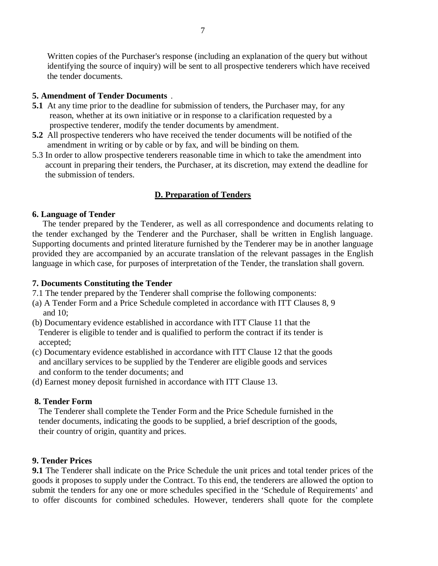Written copies of the Purchaser's response (including an explanation of the query but without identifying the source of inquiry) will be sent to all prospective tenderers which have received the tender documents.

## **5. Amendment of Tender Documents** .

- **5.1** At any time prior to the deadline for submission of tenders, the Purchaser may, for any reason, whether at its own initiative or in response to a clarification requested by a prospective tenderer, modify the tender documents by amendment.
- **5.2** All prospective tenderers who have received the tender documents will be notified of the amendment in writing or by cable or by fax, and will be binding on them.
- 5.3 In order to allow prospective tenderers reasonable time in which to take the amendment into account in preparing their tenders, the Purchaser, at its discretion, may extend the deadline for the submission of tenders.

## **D. Preparation of Tenders**

## **6. Language of Tender**

 The tender prepared by the Tenderer, as well as all correspondence and documents relating to the tender exchanged by the Tenderer and the Purchaser, shall be written in English language. Supporting documents and printed literature furnished by the Tenderer may be in another language provided they are accompanied by an accurate translation of the relevant passages in the English language in which case, for purposes of interpretation of the Tender, the translation shall govern.

## **7. Documents Constituting the Tender**

- 7.1 The tender prepared by the Tenderer shall comprise the following components:
- (a) A Tender Form and a Price Schedule completed in accordance with ITT Clauses 8, 9 and 10;
- (b) Documentary evidence established in accordance with ITT Clause 11 that the Tenderer is eligible to tender and is qualified to perform the contract if its tender is accepted;
- (c) Documentary evidence established in accordance with ITT Clause 12 that the goods and ancillary services to be supplied by the Tenderer are eligible goods and services and conform to the tender documents; and
- (d) Earnest money deposit furnished in accordance with ITT Clause 13.

## **8. Tender Form**

 The Tenderer shall complete the Tender Form and the Price Schedule furnished in the tender documents, indicating the goods to be supplied, a brief description of the goods, their country of origin, quantity and prices.

## **9. Tender Prices**

**9.1** The Tenderer shall indicate on the Price Schedule the unit prices and total tender prices of the goods it proposes to supply under the Contract. To this end, the tenderers are allowed the option to submit the tenders for any one or more schedules specified in the 'Schedule of Requirements' and to offer discounts for combined schedules. However, tenderers shall quote for the complete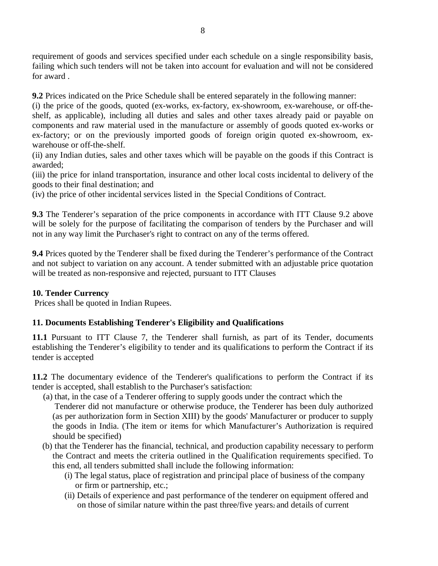requirement of goods and services specified under each schedule on a single responsibility basis, failing which such tenders will not be taken into account for evaluation and will not be considered for award .

**9.2** Prices indicated on the Price Schedule shall be entered separately in the following manner:

(i) the price of the goods, quoted (ex-works, ex-factory, ex-showroom, ex-warehouse, or off-theshelf, as applicable), including all duties and sales and other taxes already paid or payable on components and raw material used in the manufacture or assembly of goods quoted ex-works or ex-factory; or on the previously imported goods of foreign origin quoted ex-showroom, exwarehouse or off-the-shelf.

(ii) any Indian duties, sales and other taxes which will be payable on the goods if this Contract is awarded;

(iii) the price for inland transportation, insurance and other local costs incidental to delivery of the goods to their final destination; and

(iv) the price of other incidental services listed in the Special Conditions of Contract.

**9.3** The Tenderer's separation of the price components in accordance with ITT Clause 9.2 above will be solely for the purpose of facilitating the comparison of tenders by the Purchaser and will not in any way limit the Purchaser's right to contract on any of the terms offered.

**9.4** Prices quoted by the Tenderer shall be fixed during the Tenderer's performance of the Contract and not subject to variation on any account. A tender submitted with an adjustable price quotation will be treated as non-responsive and rejected, pursuant to ITT Clauses

## **10. Tender Currency**

Prices shall be quoted in Indian Rupees.

## **11. Documents Establishing Tenderer's Eligibility and Qualifications**

**11.1** Pursuant to ITT Clause 7, the Tenderer shall furnish, as part of its Tender, documents establishing the Tenderer's eligibility to tender and its qualifications to perform the Contract if its tender is accepted

**11.2** The documentary evidence of the Tenderer's qualifications to perform the Contract if its tender is accepted, shall establish to the Purchaser's satisfaction:

- (a) that, in the case of a Tenderer offering to supply goods under the contract which the Tenderer did not manufacture or otherwise produce, the Tenderer has been duly authorized (as per authorization form in Section XIII) by the goods' Manufacturer or producer to supply the goods in India. (The item or items for which Manufacturer's Authorization is required should be specified)
- (b) that the Tenderer has the financial, technical, and production capability necessary to perform the Contract and meets the criteria outlined in the Qualification requirements specified. To this end, all tenders submitted shall include the following information:
	- (i) The legal status, place of registration and principal place of business of the company or firm or partnership, etc.;
	- (ii) Details of experience and past performance of the tenderer on equipment offered and on those of similar nature within the past three/five years<sub>2</sub> and details of current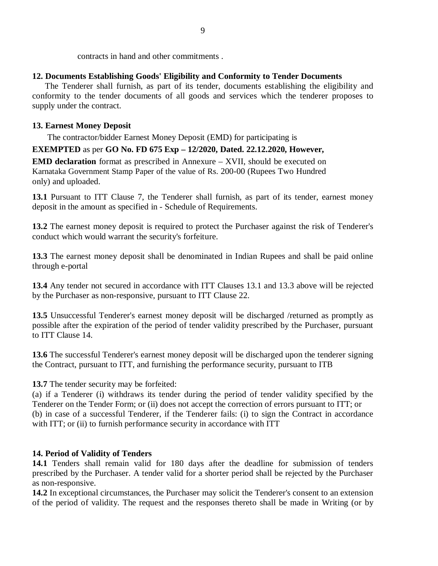contracts in hand and other commitments .

### **12. Documents Establishing Goods' Eligibility and Conformity to Tender Documents**

 The Tenderer shall furnish, as part of its tender, documents establishing the eligibility and conformity to the tender documents of all goods and services which the tenderer proposes to supply under the contract.

### **13. Earnest Money Deposit**

 The contractor/bidder Earnest Money Deposit (EMD) for participating is **EXEMPTED** as per **GO No. FD 675 Exp – 12/2020, Dated. 22.12.2020, However, EMD declaration** format as prescribed in Annexure – XVII, should be executed on

Karnataka Government Stamp Paper of the value of Rs. 200-00 (Rupees Two Hundred only) and uploaded.

**13.1** Pursuant to ITT Clause 7, the Tenderer shall furnish, as part of its tender, earnest money deposit in the amount as specified in - Schedule of Requirements.

**13.2** The earnest money deposit is required to protect the Purchaser against the risk of Tenderer's conduct which would warrant the security's forfeiture.

**13.3** The earnest money deposit shall be denominated in Indian Rupees and shall be paid online through e-portal

**13.4** Any tender not secured in accordance with ITT Clauses 13.1 and 13.3 above will be rejected by the Purchaser as non-responsive, pursuant to ITT Clause 22.

**13.5** Unsuccessful Tenderer's earnest money deposit will be discharged /returned as promptly as possible after the expiration of the period of tender validity prescribed by the Purchaser, pursuant to ITT Clause 14.

**13.6** The successful Tenderer's earnest money deposit will be discharged upon the tenderer signing the Contract, pursuant to ITT, and furnishing the performance security, pursuant to ITB

#### **13.7** The tender security may be forfeited:

(a) if a Tenderer (i) withdraws its tender during the period of tender validity specified by the Tenderer on the Tender Form; or (ii) does not accept the correction of errors pursuant to ITT; or (b) in case of a successful Tenderer, if the Tenderer fails: (i) to sign the Contract in accordance with ITT; or (ii) to furnish performance security in accordance with ITT

#### **14. Period of Validity of Tenders**

**14.1** Tenders shall remain valid for 180 days after the deadline for submission of tenders prescribed by the Purchaser. A tender valid for a shorter period shall be rejected by the Purchaser as non-responsive.

**14.2** In exceptional circumstances, the Purchaser may solicit the Tenderer's consent to an extension of the period of validity. The request and the responses thereto shall be made in Writing (or by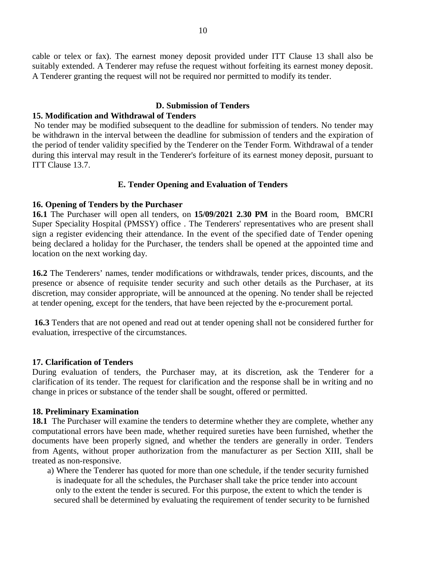cable or telex or fax). The earnest money deposit provided under ITT Clause 13 shall also be suitably extended. A Tenderer may refuse the request without forfeiting its earnest money deposit. A Tenderer granting the request will not be required nor permitted to modify its tender.

## **D. Submission of Tenders**

#### **15. Modification and Withdrawal of Tenders**

No tender may be modified subsequent to the deadline for submission of tenders. No tender may be withdrawn in the interval between the deadline for submission of tenders and the expiration of the period of tender validity specified by the Tenderer on the Tender Form. Withdrawal of a tender during this interval may result in the Tenderer's forfeiture of its earnest money deposit, pursuant to ITT Clause 13.7.

#### **E. Tender Opening and Evaluation of Tenders**

#### **16. Opening of Tenders by the Purchaser**

**16.1** The Purchaser will open all tenders, on **15/09/2021 2.30 PM** in the Board room, BMCRI Super Speciality Hospital (PMSSY) office . The Tenderers' representatives who are present shall sign a register evidencing their attendance. In the event of the specified date of Tender opening being declared a holiday for the Purchaser, the tenders shall be opened at the appointed time and location on the next working day.

**16.2** The Tenderers' names, tender modifications or withdrawals, tender prices, discounts, and the presence or absence of requisite tender security and such other details as the Purchaser, at its discretion, may consider appropriate, will be announced at the opening. No tender shall be rejected at tender opening, except for the tenders, that have been rejected by the e-procurement portal.

**16.3** Tenders that are not opened and read out at tender opening shall not be considered further for evaluation, irrespective of the circumstances.

#### **17. Clarification of Tenders**

During evaluation of tenders, the Purchaser may, at its discretion, ask the Tenderer for a clarification of its tender. The request for clarification and the response shall be in writing and no change in prices or substance of the tender shall be sought, offered or permitted.

#### **18. Preliminary Examination**

**18.1** The Purchaser will examine the tenders to determine whether they are complete, whether any computational errors have been made, whether required sureties have been furnished, whether the documents have been properly signed, and whether the tenders are generally in order. Tenders from Agents, without proper authorization from the manufacturer as per Section XIII, shall be treated as non-responsive.

 a) Where the Tenderer has quoted for more than one schedule, if the tender security furnished is inadequate for all the schedules, the Purchaser shall take the price tender into account only to the extent the tender is secured. For this purpose, the extent to which the tender is secured shall be determined by evaluating the requirement of tender security to be furnished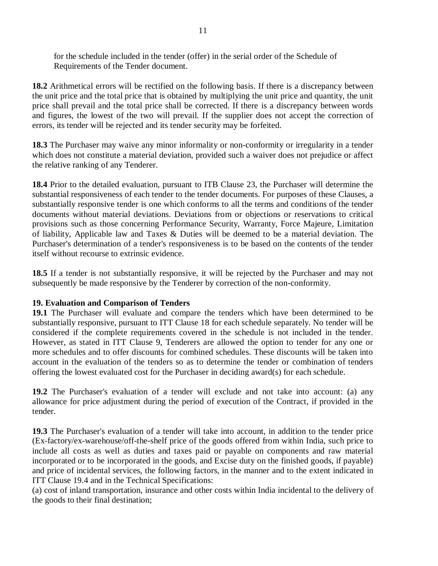for the schedule included in the tender (offer) in the serial order of the Schedule of Requirements of the Tender document.

**18.2** Arithmetical errors will be rectified on the following basis. If there is a discrepancy between the unit price and the total price that is obtained by multiplying the unit price and quantity, the unit price shall prevail and the total price shall be corrected. If there is a discrepancy between words and figures, the lowest of the two will prevail. If the supplier does not accept the correction of errors, its tender will be rejected and its tender security may be forfeited.

**18.3** The Purchaser may waive any minor informality or non-conformity or irregularity in a tender which does not constitute a material deviation, provided such a waiver does not prejudice or affect the relative ranking of any Tenderer.

**18.4** Prior to the detailed evaluation, pursuant to ITB Clause 23, the Purchaser will determine the substantial responsiveness of each tender to the tender documents. For purposes of these Clauses, a substantially responsive tender is one which conforms to all the terms and conditions of the tender documents without material deviations. Deviations from or objections or reservations to critical provisions such as those concerning Performance Security, Warranty, Force Majeure, Limitation of liability, Applicable law and Taxes & Duties will be deemed to be a material deviation. The Purchaser's determination of a tender's responsiveness is to be based on the contents of the tender itself without recourse to extrinsic evidence.

**18.5** If a tender is not substantially responsive, it will be rejected by the Purchaser and may not subsequently be made responsive by the Tenderer by correction of the non-conformity.

## **19. Evaluation and Comparison of Tenders**

**19.1** The Purchaser will evaluate and compare the tenders which have been determined to be substantially responsive, pursuant to ITT Clause 18 for each schedule separately. No tender will be considered if the complete requirements covered in the schedule is not included in the tender. However, as stated in ITT Clause 9, Tenderers are allowed the option to tender for any one or more schedules and to offer discounts for combined schedules. These discounts will be taken into account in the evaluation of the tenders so as to determine the tender or combination of tenders offering the lowest evaluated cost for the Purchaser in deciding award(s) for each schedule.

**19.2** The Purchaser's evaluation of a tender will exclude and not take into account: (a) any allowance for price adjustment during the period of execution of the Contract, if provided in the tender.

**19.3** The Purchaser's evaluation of a tender will take into account, in addition to the tender price (Ex-factory/ex-warehouse/off-the-shelf price of the goods offered from within India, such price to include all costs as well as duties and taxes paid or payable on components and raw material incorporated or to be incorporated in the goods, and Excise duty on the finished goods, if payable) and price of incidental services, the following factors, in the manner and to the extent indicated in ITT Clause 19.4 and in the Technical Specifications:

(a) cost of inland transportation, insurance and other costs within India incidental to the delivery of the goods to their final destination;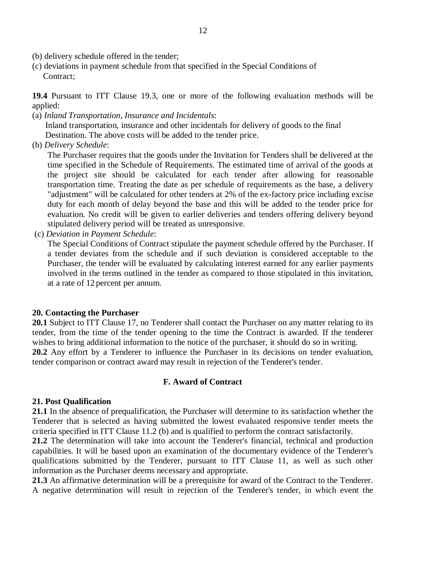- (b) delivery schedule offered in the tender;
- (c) deviations in payment schedule from that specified in the Special Conditions of Contract:

**19.4** Pursuant to ITT Clause 19.3, one or more of the following evaluation methods will be applied:

- (a) *Inland Transportation, Insurance and Incidentals*: Inland transportation, insurance and other incidentals for delivery of goods to the final Destination. The above costs will be added to the tender price.
- (b) *Delivery Schedule*:

The Purchaser requires that the goods under the Invitation for Tenders shall be delivered at the time specified in the Schedule of Requirements. The estimated time of arrival of the goods at the project site should be calculated for each tender after allowing for reasonable transportation time. Treating the date as per schedule of requirements as the base, a delivery "adjustment" will be calculated for other tenders at 2% of the ex-factory price including excise duty for each month of delay beyond the base and this will be added to the tender price for evaluation. No credit will be given to earlier deliveries and tenders offering delivery beyond stipulated delivery period will be treated as unresponsive.

(c) *Deviation in Payment Schedule*:

The Special Conditions of Contract stipulate the payment schedule offered by the Purchaser. If a tender deviates from the schedule and if such deviation is considered acceptable to the Purchaser, the tender will be evaluated by calculating interest earned for any earlier payments involved in the terms outlined in the tender as compared to those stipulated in this invitation, at a rate of 12 percent per annum.

#### **20. Contacting the Purchaser**

**20.1** Subject to ITT Clause 17, no Tenderer shall contact the Purchaser on any matter relating to its tender, from the time of the tender opening to the time the Contract is awarded. If the tenderer wishes to bring additional information to the notice of the purchaser, it should do so in writing. **20.2** Any effort by a Tenderer to influence the Purchaser in its decisions on tender evaluation, tender comparison or contract award may result in rejection of the Tenderer's tender.

## **F. Award of Contract**

#### **21. Post Qualification**

**21.1** In the absence of prequalification, the Purchaser will determine to its satisfaction whether the Tenderer that is selected as having submitted the lowest evaluated responsive tender meets the criteria specified in ITT Clause 11.2 (b) and is qualified to perform the contract satisfactorily.

**21.2** The determination will take into account the Tenderer's financial, technical and production capabilities. It will be based upon an examination of the documentary evidence of the Tenderer's qualifications submitted by the Tenderer, pursuant to ITT Clause 11, as well as such other information as the Purchaser deems necessary and appropriate.

**21.3** An affirmative determination will be a prerequisite for award of the Contract to the Tenderer. A negative determination will result in rejection of the Tenderer's tender, in which event the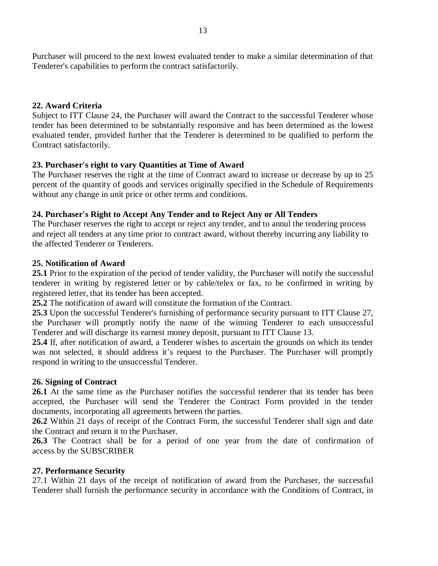## **22. Award Criteria**

Subject to ITT Clause 24, the Purchaser will award the Contract to the successful Tenderer whose tender has been determined to be substantially responsive and has been determined as the lowest evaluated tender, provided further that the Tenderer is determined to be qualified to perform the Contract satisfactorily.

## **23. Purchaser's right to vary Quantities at Time of Award**

The Purchaser reserves the right at the time of Contract award to increase or decrease by up to 25 percent of the quantity of goods and services originally specified in the Schedule of Requirements without any change in unit price or other terms and conditions.

## **24. Purchaser's Right to Accept Any Tender and to Reject Any or All Tenders**

The Purchaser reserves the right to accept or reject any tender, and to annul the tendering process and reject all tenders at any time prior to contract award, without thereby incurring any liability to the affected Tenderer or Tenderers.

## **25. Notification of Award**

**25.1** Prior to the expiration of the period of tender validity, the Purchaser will notify the successful tenderer in writing by registered letter or by cable/telex or fax, to be confirmed in writing by registered letter, that its tender has been accepted.

**25.2** The notification of award will constitute the formation of the Contract.

**25.3** Upon the successful Tenderer's furnishing of performance security pursuant to ITT Clause 27, the Purchaser will promptly notify the name of the winning Tenderer to each unsuccessful Tenderer and will discharge its earnest money deposit, pursuant to ITT Clause 13.

**25.4** If, after notification of award, a Tenderer wishes to ascertain the grounds on which its tender was not selected, it should address it's request to the Purchaser. The Purchaser will promptly respond in writing to the unsuccessful Tenderer.

## **26. Signing of Contract**

**26.1** At the same time as the Purchaser notifies the successful tenderer that its tender has been accepted, the Purchaser will send the Tenderer the Contract Form provided in the tender documents, incorporating all agreements between the parties.

**26.2** Within 21 days of receipt of the Contract Form, the successful Tenderer shall sign and date the Contract and return it to the Purchaser.

**26.3** The Contract shall be for a period of one year from the date of confirmation of access by the SUBSCRIBER

## **27. Performance Security**

27.1 Within 21 days of the receipt of notification of award from the Purchaser, the successful Tenderer shall furnish the performance security in accordance with the Conditions of Contract, in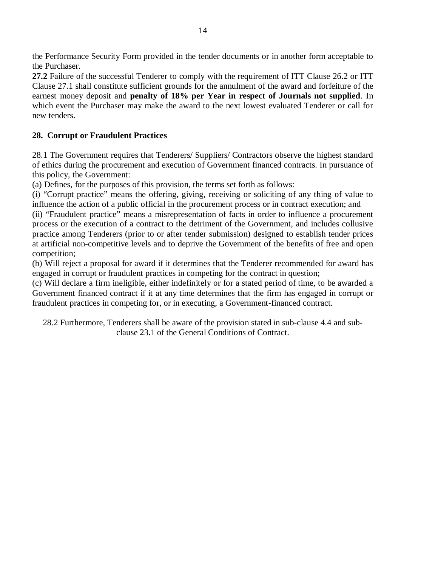the Performance Security Form provided in the tender documents or in another form acceptable to the Purchaser.

**27.2** Failure of the successful Tenderer to comply with the requirement of ITT Clause 26.2 or ITT Clause 27.1 shall constitute sufficient grounds for the annulment of the award and forfeiture of the earnest money deposit and **penalty of 18% per Year in respect of Journals not supplied**. In which event the Purchaser may make the award to the next lowest evaluated Tenderer or call for new tenders.

## **28. Corrupt or Fraudulent Practices**

28.1 The Government requires that Tenderers/ Suppliers/ Contractors observe the highest standard of ethics during the procurement and execution of Government financed contracts. In pursuance of this policy, the Government:

(a) Defines, for the purposes of this provision, the terms set forth as follows:

(i) "Corrupt practice" means the offering, giving, receiving or soliciting of any thing of value to influence the action of a public official in the procurement process or in contract execution; and

(ii) "Fraudulent practice" means a misrepresentation of facts in order to influence a procurement process or the execution of a contract to the detriment of the Government, and includes collusive practice among Tenderers (prior to or after tender submission) designed to establish tender prices at artificial non-competitive levels and to deprive the Government of the benefits of free and open competition;

(b) Will reject a proposal for award if it determines that the Tenderer recommended for award has engaged in corrupt or fraudulent practices in competing for the contract in question;

(c) Will declare a firm ineligible, either indefinitely or for a stated period of time, to be awarded a Government financed contract if it at any time determines that the firm has engaged in corrupt or fraudulent practices in competing for, or in executing, a Government-financed contract.

28.2 Furthermore, Tenderers shall be aware of the provision stated in sub-clause 4.4 and subclause 23.1 of the General Conditions of Contract.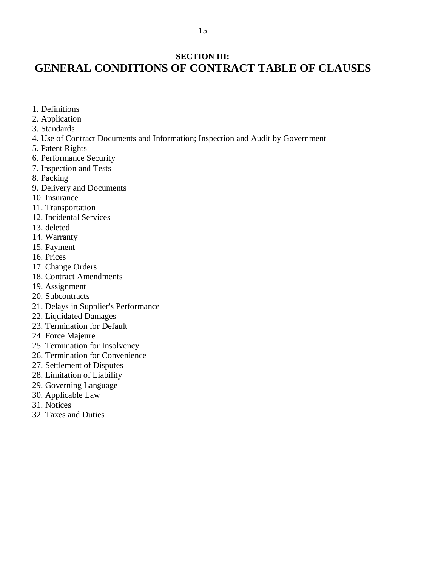15

## **SECTION III: GENERAL CONDITIONS OF CONTRACT TABLE OF CLAUSES**

- 1. Definitions
- 2. Application
- 3. Standards
- 4. Use of Contract Documents and Information; Inspection and Audit by Government
- 5. Patent Rights
- 6. Performance Security
- 7. Inspection and Tests
- 8. Packing
- 9. Delivery and Documents
- 10. Insurance
- 11. Transportation
- 12. Incidental Services
- 13. deleted
- 14. Warranty
- 15. Payment
- 16. Prices
- 17. Change Orders
- 18. Contract Amendments
- 19. Assignment
- 20. Subcontracts
- 21. Delays in Supplier's Performance
- 22. Liquidated Damages
- 23. Termination for Default
- 24. Force Majeure
- 25. Termination for Insolvency
- 26. Termination for Convenience
- 27. Settlement of Disputes
- 28. Limitation of Liability
- 29. Governing Language
- 30. Applicable Law
- 31. Notices
- 32. Taxes and Duties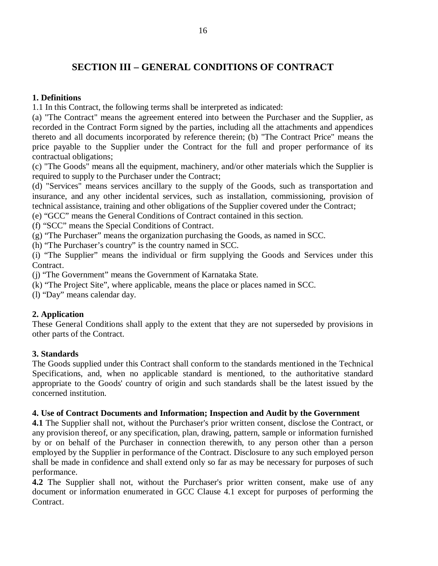## **SECTION III – GENERAL CONDITIONS OF CONTRACT**

## **1. Definitions**

1.1 In this Contract, the following terms shall be interpreted as indicated:

(a) "The Contract" means the agreement entered into between the Purchaser and the Supplier, as recorded in the Contract Form signed by the parties, including all the attachments and appendices thereto and all documents incorporated by reference therein; (b) "The Contract Price" means the price payable to the Supplier under the Contract for the full and proper performance of its contractual obligations;

(c) "The Goods" means all the equipment, machinery, and/or other materials which the Supplier is required to supply to the Purchaser under the Contract;

(d) "Services" means services ancillary to the supply of the Goods, such as transportation and insurance, and any other incidental services, such as installation, commissioning, provision of technical assistance, training and other obligations of the Supplier covered under the Contract;

(e) "GCC" means the General Conditions of Contract contained in this section.

(f) "SCC" means the Special Conditions of Contract.

(g) "The Purchaser" means the organization purchasing the Goods, as named in SCC.

(h) "The Purchaser's country" is the country named in SCC.

(i) "The Supplier" means the individual or firm supplying the Goods and Services under this Contract.

(j) "The Government" means the Government of Karnataka State.

(k) "The Project Site", where applicable, means the place or places named in SCC.

(l) "Day" means calendar day.

## **2. Application**

These General Conditions shall apply to the extent that they are not superseded by provisions in other parts of the Contract.

## **3. Standards**

The Goods supplied under this Contract shall conform to the standards mentioned in the Technical Specifications, and, when no applicable standard is mentioned, to the authoritative standard appropriate to the Goods' country of origin and such standards shall be the latest issued by the concerned institution.

#### **4. Use of Contract Documents and Information; Inspection and Audit by the Government**

**4.1** The Supplier shall not, without the Purchaser's prior written consent, disclose the Contract, or any provision thereof, or any specification, plan, drawing, pattern, sample or information furnished by or on behalf of the Purchaser in connection therewith, to any person other than a person employed by the Supplier in performance of the Contract. Disclosure to any such employed person shall be made in confidence and shall extend only so far as may be necessary for purposes of such performance.

**4.2** The Supplier shall not, without the Purchaser's prior written consent, make use of any document or information enumerated in GCC Clause 4.1 except for purposes of performing the Contract.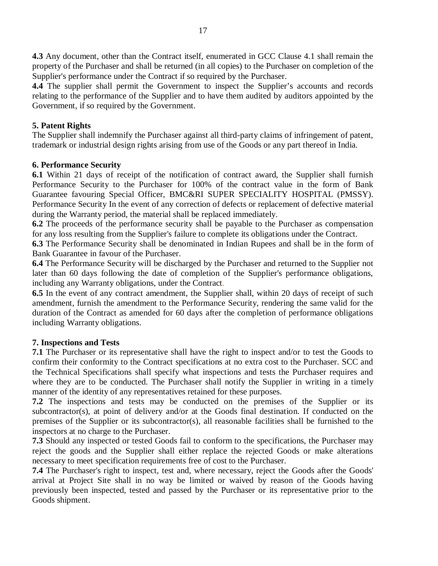**4.3** Any document, other than the Contract itself, enumerated in GCC Clause 4.1 shall remain the property of the Purchaser and shall be returned (in all copies) to the Purchaser on completion of the Supplier's performance under the Contract if so required by the Purchaser.

**4.4** The supplier shall permit the Government to inspect the Supplier's accounts and records relating to the performance of the Supplier and to have them audited by auditors appointed by the Government, if so required by the Government.

## **5. Patent Rights**

The Supplier shall indemnify the Purchaser against all third-party claims of infringement of patent, trademark or industrial design rights arising from use of the Goods or any part thereof in India.

## **6. Performance Security**

**6.1** Within 21 days of receipt of the notification of contract award, the Supplier shall furnish Performance Security to the Purchaser for 100% of the contract value in the form of Bank Guarantee favouring Special Officer, BMC&RI SUPER SPECIALITY HOSPITAL (PMSSY). Performance Security In the event of any correction of defects or replacement of defective material during the Warranty period, the material shall be replaced immediately.

**6.2** The proceeds of the performance security shall be payable to the Purchaser as compensation for any loss resulting from the Supplier's failure to complete its obligations under the Contract.

**6.3** The Performance Security shall be denominated in Indian Rupees and shall be in the form of Bank Guarantee in favour of the Purchaser.

**6.4** The Performance Security will be discharged by the Purchaser and returned to the Supplier not later than 60 days following the date of completion of the Supplier's performance obligations, including any Warranty obligations, under the Contract.

**6.5** In the event of any contract amendment, the Supplier shall, within 20 days of receipt of such amendment, furnish the amendment to the Performance Security, rendering the same valid for the duration of the Contract as amended for 60 days after the completion of performance obligations including Warranty obligations.

## **7. Inspections and Tests**

**7.1** The Purchaser or its representative shall have the right to inspect and/or to test the Goods to confirm their conformity to the Contract specifications at no extra cost to the Purchaser. SCC and the Technical Specifications shall specify what inspections and tests the Purchaser requires and where they are to be conducted. The Purchaser shall notify the Supplier in writing in a timely manner of the identity of any representatives retained for these purposes.

**7.2** The inspections and tests may be conducted on the premises of the Supplier or its subcontractor(s), at point of delivery and/or at the Goods final destination. If conducted on the premises of the Supplier or its subcontractor(s), all reasonable facilities shall be furnished to the inspectors at no charge to the Purchaser.

**7.3** Should any inspected or tested Goods fail to conform to the specifications, the Purchaser may reject the goods and the Supplier shall either replace the rejected Goods or make alterations necessary to meet specification requirements free of cost to the Purchaser.

**7.4** The Purchaser's right to inspect, test and, where necessary, reject the Goods after the Goods' arrival at Project Site shall in no way be limited or waived by reason of the Goods having previously been inspected, tested and passed by the Purchaser or its representative prior to the Goods shipment.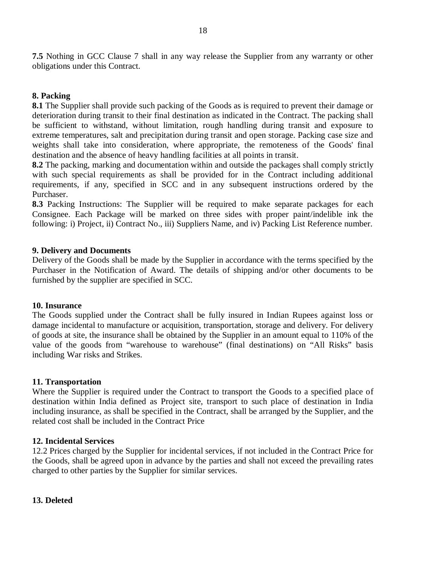**7.5** Nothing in GCC Clause 7 shall in any way release the Supplier from any warranty or other obligations under this Contract.

## **8. Packing**

**8.1** The Supplier shall provide such packing of the Goods as is required to prevent their damage or deterioration during transit to their final destination as indicated in the Contract. The packing shall be sufficient to withstand, without limitation, rough handling during transit and exposure to extreme temperatures, salt and precipitation during transit and open storage. Packing case size and weights shall take into consideration, where appropriate, the remoteness of the Goods' final destination and the absence of heavy handling facilities at all points in transit.

**8.2** The packing, marking and documentation within and outside the packages shall comply strictly with such special requirements as shall be provided for in the Contract including additional requirements, if any, specified in SCC and in any subsequent instructions ordered by the Purchaser.

**8.3** Packing Instructions: The Supplier will be required to make separate packages for each Consignee. Each Package will be marked on three sides with proper paint/indelible ink the following: i) Project, ii) Contract No., iii) Suppliers Name, and iv) Packing List Reference number.

#### **9. Delivery and Documents**

Delivery of the Goods shall be made by the Supplier in accordance with the terms specified by the Purchaser in the Notification of Award. The details of shipping and/or other documents to be furnished by the supplier are specified in SCC.

#### **10. Insurance**

The Goods supplied under the Contract shall be fully insured in Indian Rupees against loss or damage incidental to manufacture or acquisition, transportation, storage and delivery. For delivery of goods at site, the insurance shall be obtained by the Supplier in an amount equal to 110% of the value of the goods from "warehouse to warehouse" (final destinations) on "All Risks" basis including War risks and Strikes.

#### **11. Transportation**

Where the Supplier is required under the Contract to transport the Goods to a specified place of destination within India defined as Project site, transport to such place of destination in India including insurance, as shall be specified in the Contract, shall be arranged by the Supplier, and the related cost shall be included in the Contract Price

#### **12. Incidental Services**

12.2 Prices charged by the Supplier for incidental services, if not included in the Contract Price for the Goods, shall be agreed upon in advance by the parties and shall not exceed the prevailing rates charged to other parties by the Supplier for similar services.

#### **13. Deleted**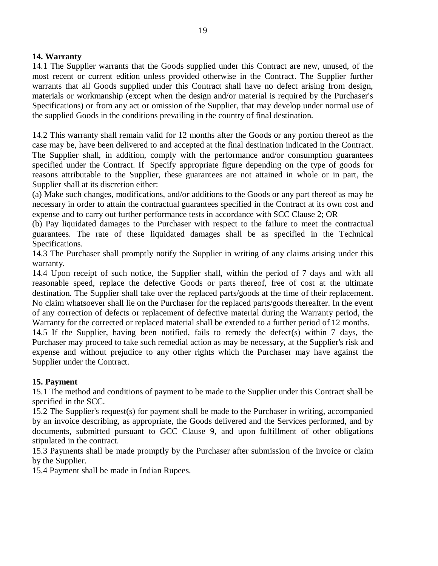## **14. Warranty**

14.1 The Supplier warrants that the Goods supplied under this Contract are new, unused, of the most recent or current edition unless provided otherwise in the Contract. The Supplier further warrants that all Goods supplied under this Contract shall have no defect arising from design, materials or workmanship (except when the design and/or material is required by the Purchaser's Specifications) or from any act or omission of the Supplier, that may develop under normal use of the supplied Goods in the conditions prevailing in the country of final destination.

14.2 This warranty shall remain valid for 12 months after the Goods or any portion thereof as the case may be, have been delivered to and accepted at the final destination indicated in the Contract. The Supplier shall, in addition, comply with the performance and/or consumption guarantees specified under the Contract. If Specify appropriate figure depending on the type of goods for reasons attributable to the Supplier, these guarantees are not attained in whole or in part, the Supplier shall at its discretion either:

(a) Make such changes, modifications, and/or additions to the Goods or any part thereof as may be necessary in order to attain the contractual guarantees specified in the Contract at its own cost and expense and to carry out further performance tests in accordance with SCC Clause 2; OR

(b) Pay liquidated damages to the Purchaser with respect to the failure to meet the contractual guarantees. The rate of these liquidated damages shall be as specified in the Technical Specifications.

14.3 The Purchaser shall promptly notify the Supplier in writing of any claims arising under this warranty.

14.4 Upon receipt of such notice, the Supplier shall, within the period of 7 days and with all reasonable speed, replace the defective Goods or parts thereof, free of cost at the ultimate destination. The Supplier shall take over the replaced parts/goods at the time of their replacement. No claim whatsoever shall lie on the Purchaser for the replaced parts/goods thereafter. In the event of any correction of defects or replacement of defective material during the Warranty period, the Warranty for the corrected or replaced material shall be extended to a further period of 12 months.

14.5 If the Supplier, having been notified, fails to remedy the defect(s) within 7 days, the Purchaser may proceed to take such remedial action as may be necessary, at the Supplier's risk and expense and without prejudice to any other rights which the Purchaser may have against the Supplier under the Contract.

#### **15. Payment**

15.1 The method and conditions of payment to be made to the Supplier under this Contract shall be specified in the SCC.

15.2 The Supplier's request(s) for payment shall be made to the Purchaser in writing, accompanied by an invoice describing, as appropriate, the Goods delivered and the Services performed, and by documents, submitted pursuant to GCC Clause 9, and upon fulfillment of other obligations stipulated in the contract.

15.3 Payments shall be made promptly by the Purchaser after submission of the invoice or claim by the Supplier.

15.4 Payment shall be made in Indian Rupees.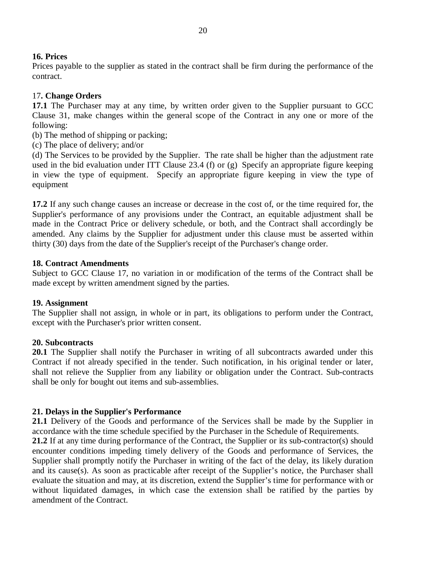## **16. Prices**

Prices payable to the supplier as stated in the contract shall be firm during the performance of the contract.

## 17**. Change Orders**

**17.1** The Purchaser may at any time, by written order given to the Supplier pursuant to GCC Clause 31, make changes within the general scope of the Contract in any one or more of the following:

- (b) The method of shipping or packing;
- (c) The place of delivery; and/or

(d) The Services to be provided by the Supplier. The rate shall be higher than the adjustment rate used in the bid evaluation under ITT Clause 23.4 (f) or (g) Specify an appropriate figure keeping in view the type of equipment. Specify an appropriate figure keeping in view the type of equipment

**17.2** If any such change causes an increase or decrease in the cost of, or the time required for, the Supplier's performance of any provisions under the Contract, an equitable adjustment shall be made in the Contract Price or delivery schedule, or both, and the Contract shall accordingly be amended. Any claims by the Supplier for adjustment under this clause must be asserted within thirty (30) days from the date of the Supplier's receipt of the Purchaser's change order.

#### **18. Contract Amendments**

Subject to GCC Clause 17, no variation in or modification of the terms of the Contract shall be made except by written amendment signed by the parties.

#### **19. Assignment**

The Supplier shall not assign, in whole or in part, its obligations to perform under the Contract, except with the Purchaser's prior written consent.

#### **20. Subcontracts**

**20.1** The Supplier shall notify the Purchaser in writing of all subcontracts awarded under this Contract if not already specified in the tender. Such notification, in his original tender or later, shall not relieve the Supplier from any liability or obligation under the Contract. Sub-contracts shall be only for bought out items and sub-assemblies.

#### **21. Delays in the Supplier's Performance**

**21.1** Delivery of the Goods and performance of the Services shall be made by the Supplier in accordance with the time schedule specified by the Purchaser in the Schedule of Requirements.

21.2 If at any time during performance of the Contract, the Supplier or its sub-contractor(s) should encounter conditions impeding timely delivery of the Goods and performance of Services, the Supplier shall promptly notify the Purchaser in writing of the fact of the delay, its likely duration and its cause(s). As soon as practicable after receipt of the Supplier's notice, the Purchaser shall evaluate the situation and may, at its discretion, extend the Supplier's time for performance with or without liquidated damages, in which case the extension shall be ratified by the parties by amendment of the Contract.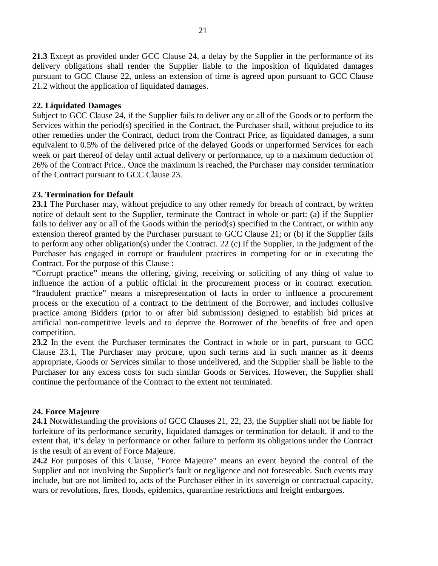**21.3** Except as provided under GCC Clause 24, a delay by the Supplier in the performance of its delivery obligations shall render the Supplier liable to the imposition of liquidated damages pursuant to GCC Clause 22, unless an extension of time is agreed upon pursuant to GCC Clause 21.2 without the application of liquidated damages.

## **22. Liquidated Damages**

Subject to GCC Clause 24, if the Supplier fails to deliver any or all of the Goods or to perform the Services within the period(s) specified in the Contract, the Purchaser shall, without prejudice to its other remedies under the Contract, deduct from the Contract Price, as liquidated damages, a sum equivalent to 0.5% of the delivered price of the delayed Goods or unperformed Services for each week or part thereof of delay until actual delivery or performance, up to a maximum deduction of 26% of the Contract Price.. Once the maximum is reached, the Purchaser may consider termination of the Contract pursuant to GCC Clause 23.

## **23. Termination for Default**

**23.1** The Purchaser may, without prejudice to any other remedy for breach of contract, by written notice of default sent to the Supplier, terminate the Contract in whole or part: (a) if the Supplier fails to deliver any or all of the Goods within the period(s) specified in the Contract, or within any extension thereof granted by the Purchaser pursuant to GCC Clause 21; or (b) if the Supplier fails to perform any other obligation(s) under the Contract. 22 (c) If the Supplier, in the judgment of the Purchaser has engaged in corrupt or fraudulent practices in competing for or in executing the Contract. For the purpose of this Clause :

"Corrupt practice" means the offering, giving, receiving or soliciting of any thing of value to influence the action of a public official in the procurement process or in contract execution. "fraudulent practice" means a misrepresentation of facts in order to influence a procurement process or the execution of a contract to the detriment of the Borrower, and includes collusive practice among Bidders (prior to or after bid submission) designed to establish bid prices at artificial non-competitive levels and to deprive the Borrower of the benefits of free and open competition.

**23.2** In the event the Purchaser terminates the Contract in whole or in part, pursuant to GCC Clause 23.1, The Purchaser may procure, upon such terms and in such manner as it deems appropriate, Goods or Services similar to those undelivered, and the Supplier shall be liable to the Purchaser for any excess costs for such similar Goods or Services. However, the Supplier shall continue the performance of the Contract to the extent not terminated.

## **24. Force Majeure**

**24.1** Notwithstanding the provisions of GCC Clauses 21, 22, 23, the Supplier shall not be liable for forfeiture of its performance security, liquidated damages or termination for default, if and to the extent that, it's delay in performance or other failure to perform its obligations under the Contract is the result of an event of Force Majeure.

**24.2** For purposes of this Clause, "Force Majeure" means an event beyond the control of the Supplier and not involving the Supplier's fault or negligence and not foreseeable. Such events may include, but are not limited to, acts of the Purchaser either in its sovereign or contractual capacity, wars or revolutions, fires, floods, epidemics, quarantine restrictions and freight embargoes.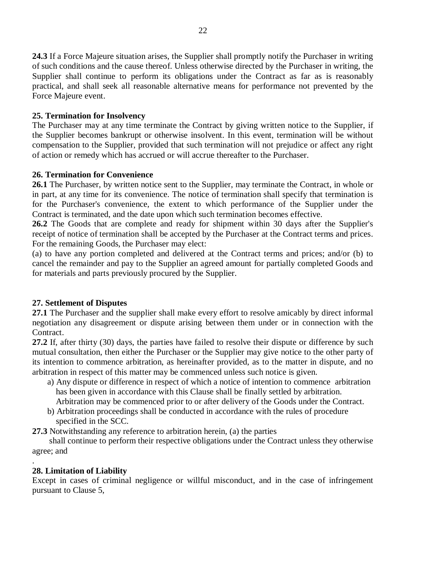**24.3** If a Force Majeure situation arises, the Supplier shall promptly notify the Purchaser in writing of such conditions and the cause thereof. Unless otherwise directed by the Purchaser in writing, the Supplier shall continue to perform its obligations under the Contract as far as is reasonably practical, and shall seek all reasonable alternative means for performance not prevented by the Force Majeure event.

## **25. Termination for Insolvency**

The Purchaser may at any time terminate the Contract by giving written notice to the Supplier, if the Supplier becomes bankrupt or otherwise insolvent. In this event, termination will be without compensation to the Supplier, provided that such termination will not prejudice or affect any right of action or remedy which has accrued or will accrue thereafter to the Purchaser.

## **26. Termination for Convenience**

**26.1** The Purchaser, by written notice sent to the Supplier, may terminate the Contract, in whole or in part, at any time for its convenience. The notice of termination shall specify that termination is for the Purchaser's convenience, the extent to which performance of the Supplier under the Contract is terminated, and the date upon which such termination becomes effective.

**26.2** The Goods that are complete and ready for shipment within 30 days after the Supplier's receipt of notice of termination shall be accepted by the Purchaser at the Contract terms and prices. For the remaining Goods, the Purchaser may elect:

(a) to have any portion completed and delivered at the Contract terms and prices; and/or (b) to cancel the remainder and pay to the Supplier an agreed amount for partially completed Goods and for materials and parts previously procured by the Supplier.

## **27. Settlement of Disputes**

**27.1** The Purchaser and the supplier shall make every effort to resolve amicably by direct informal negotiation any disagreement or dispute arising between them under or in connection with the Contract.

**27.2** If, after thirty (30) days, the parties have failed to resolve their dispute or difference by such mutual consultation, then either the Purchaser or the Supplier may give notice to the other party of its intention to commence arbitration, as hereinafter provided, as to the matter in dispute, and no arbitration in respect of this matter may be commenced unless such notice is given.

- a) Any dispute or difference in respect of which a notice of intention to commence arbitration has been given in accordance with this Clause shall be finally settled by arbitration.
	- Arbitration may be commenced prior to or after delivery of the Goods under the Contract.
- b) Arbitration proceedings shall be conducted in accordance with the rules of procedure specified in the SCC.

**27.3** Notwithstanding any reference to arbitration herein, (a) the parties

 shall continue to perform their respective obligations under the Contract unless they otherwise agree; and

#### . **28. Limitation of Liability**

Except in cases of criminal negligence or willful misconduct, and in the case of infringement pursuant to Clause 5,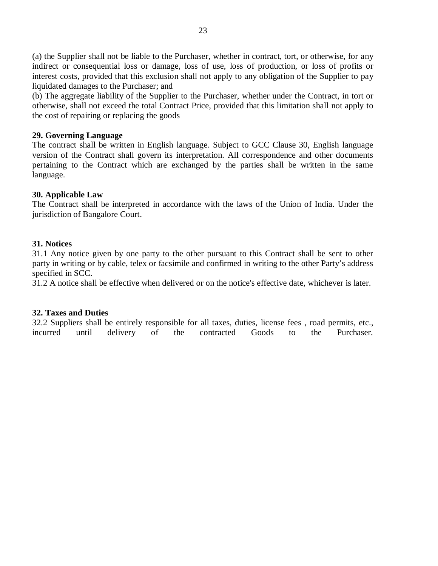(a) the Supplier shall not be liable to the Purchaser, whether in contract, tort, or otherwise, for any indirect or consequential loss or damage, loss of use, loss of production, or loss of profits or interest costs, provided that this exclusion shall not apply to any obligation of the Supplier to pay liquidated damages to the Purchaser; and

(b) The aggregate liability of the Supplier to the Purchaser, whether under the Contract, in tort or otherwise, shall not exceed the total Contract Price, provided that this limitation shall not apply to the cost of repairing or replacing the goods

### **29. Governing Language**

The contract shall be written in English language. Subject to GCC Clause 30, English language version of the Contract shall govern its interpretation. All correspondence and other documents pertaining to the Contract which are exchanged by the parties shall be written in the same language.

## **30. Applicable Law**

The Contract shall be interpreted in accordance with the laws of the Union of India. Under the jurisdiction of Bangalore Court.

## **31. Notices**

31.1 Any notice given by one party to the other pursuant to this Contract shall be sent to other party in writing or by cable, telex or facsimile and confirmed in writing to the other Party's address specified in SCC.

31.2 A notice shall be effective when delivered or on the notice's effective date, whichever is later.

#### **32. Taxes and Duties**

32.2 Suppliers shall be entirely responsible for all taxes, duties, license fees , road permits, etc., incurred until delivery of the contracted Goods to the Purchaser.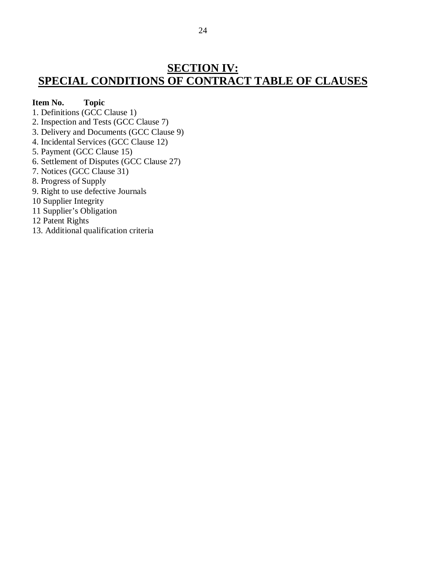# **SECTION IV: SPECIAL CONDITIONS OF CONTRACT TABLE OF CLAUSES**

## **Item No. Topic**

- 1. Definitions (GCC Clause 1)
- 2. Inspection and Tests (GCC Clause 7)
- 3. Delivery and Documents (GCC Clause 9)
- 4. Incidental Services (GCC Clause 12)
- 5. Payment (GCC Clause 15)
- 6. Settlement of Disputes (GCC Clause 27)
- 7. Notices (GCC Clause 31)
- 8. Progress of Supply
- 9. Right to use defective Journals
- 10 Supplier Integrity
- 11 Supplier's Obligation
- 12 Patent Rights
- 13. Additional qualification criteria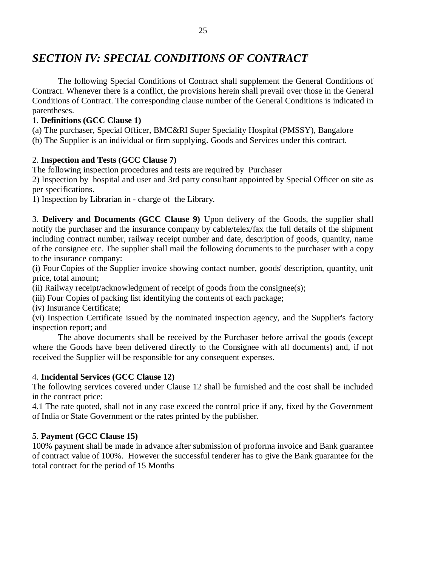# *SECTION IV: SPECIAL CONDITIONS OF CONTRACT*

The following Special Conditions of Contract shall supplement the General Conditions of Contract. Whenever there is a conflict, the provisions herein shall prevail over those in the General Conditions of Contract. The corresponding clause number of the General Conditions is indicated in parentheses.

## 1. **Definitions (GCC Clause 1)**

(a) The purchaser, Special Officer, BMC&RI Super Speciality Hospital (PMSSY), Bangalore

(b) The Supplier is an individual or firm supplying. Goods and Services under this contract.

## 2. **Inspection and Tests (GCC Clause 7)**

The following inspection procedures and tests are required by Purchaser

2) Inspection by hospital and user and 3rd party consultant appointed by Special Officer on site as per specifications.

1) Inspection by Librarian in - charge of the Library.

3. **Delivery and Documents (GCC Clause 9)** Upon delivery of the Goods, the supplier shall notify the purchaser and the insurance company by cable/telex/fax the full details of the shipment including contract number, railway receipt number and date, description of goods, quantity, name of the consignee etc. The supplier shall mail the following documents to the purchaser with a copy to the insurance company:

(i) Four Copies of the Supplier invoice showing contact number, goods' description, quantity, unit price, total amount;

(ii) Railway receipt/acknowledgment of receipt of goods from the consignee(s);

(iii) Four Copies of packing list identifying the contents of each package;

(iv) Insurance Certificate;

(vi) Inspection Certificate issued by the nominated inspection agency, and the Supplier's factory inspection report; and

The above documents shall be received by the Purchaser before arrival the goods (except where the Goods have been delivered directly to the Consignee with all documents) and, if not received the Supplier will be responsible for any consequent expenses.

## 4. **Incidental Services (GCC Clause 12)**

The following services covered under Clause 12 shall be furnished and the cost shall be included in the contract price:

4.1 The rate quoted, shall not in any case exceed the control price if any, fixed by the Government of India or State Government or the rates printed by the publisher.

## **5**. **Payment (GCC Clause 15)**

100% payment shall be made in advance after submission of proforma invoice and Bank guarantee of contract value of 100%. However the successful tenderer has to give the Bank guarantee for the total contract for the period of 15 Months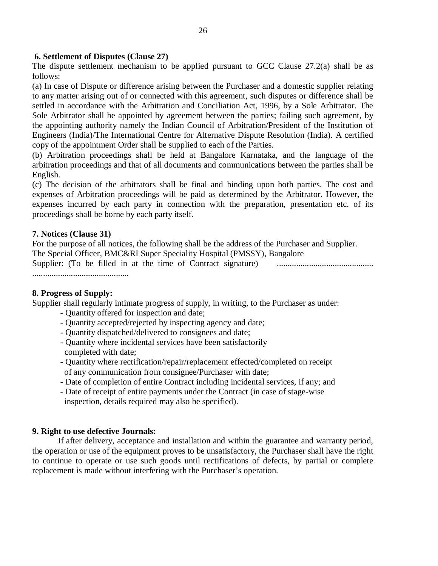### **6. Settlement of Disputes (Clause 27)**

The dispute settlement mechanism to be applied pursuant to GCC Clause 27.2(a) shall be as follows:

(a) In case of Dispute or difference arising between the Purchaser and a domestic supplier relating to any matter arising out of or connected with this agreement, such disputes or difference shall be settled in accordance with the Arbitration and Conciliation Act, 1996, by a Sole Arbitrator. The Sole Arbitrator shall be appointed by agreement between the parties; failing such agreement, by the appointing authority namely the Indian Council of Arbitration/President of the Institution of Engineers (India)/The International Centre for Alternative Dispute Resolution (India). A certified copy of the appointment Order shall be supplied to each of the Parties.

(b) Arbitration proceedings shall be held at Bangalore Karnataka, and the language of the arbitration proceedings and that of all documents and communications between the parties shall be English.

(c) The decision of the arbitrators shall be final and binding upon both parties. The cost and expenses of Arbitration proceedings will be paid as determined by the Arbitrator. However, the expenses incurred by each party in connection with the preparation, presentation etc. of its proceedings shall be borne by each party itself.

## **7. Notices (Clause 31)**

For the purpose of all notices, the following shall be the address of the Purchaser and Supplier. The Special Officer, BMC&RI Super Speciality Hospital (PMSSY), Bangalore Supplier: (To be filled in at the time of Contract signature) ............................................. .............................................

#### **8. Progress of Supply:**

Supplier shall regularly intimate progress of supply, in writing, to the Purchaser as under:

- Quantity offered for inspection and date;
- Quantity accepted/rejected by inspecting agency and date;
- Quantity dispatched/delivered to consignees and date;
- Quantity where incidental services have been satisfactorily completed with date;
- Quantity where rectification/repair/replacement effected/completed on receipt of any communication from consignee/Purchaser with date;
- Date of completion of entire Contract including incidental services, if any; and
- Date of receipt of entire payments under the Contract (in case of stage-wise inspection, details required may also be specified).

## **9. Right to use defective Journals:**

If after delivery, acceptance and installation and within the guarantee and warranty period, the operation or use of the equipment proves to be unsatisfactory, the Purchaser shall have the right to continue to operate or use such goods until rectifications of defects, by partial or complete replacement is made without interfering with the Purchaser's operation.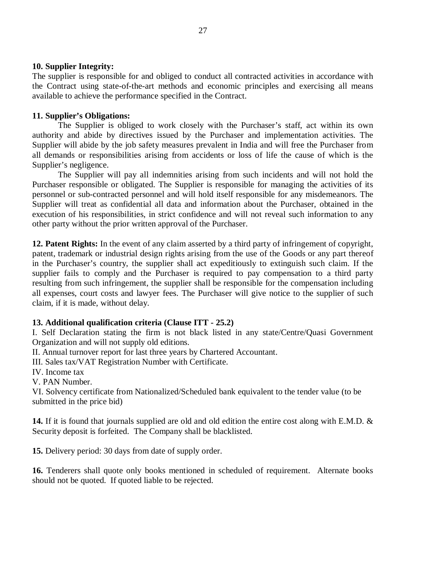#### **10. Supplier Integrity:**

The supplier is responsible for and obliged to conduct all contracted activities in accordance with the Contract using state-of-the-art methods and economic principles and exercising all means available to achieve the performance specified in the Contract.

#### **11. Supplier's Obligations:**

The Supplier is obliged to work closely with the Purchaser's staff, act within its own authority and abide by directives issued by the Purchaser and implementation activities. The Supplier will abide by the job safety measures prevalent in India and will free the Purchaser from all demands or responsibilities arising from accidents or loss of life the cause of which is the Supplier's negligence.

The Supplier will pay all indemnities arising from such incidents and will not hold the Purchaser responsible or obligated. The Supplier is responsible for managing the activities of its personnel or sub-contracted personnel and will hold itself responsible for any misdemeanors. The Supplier will treat as confidential all data and information about the Purchaser, obtained in the execution of his responsibilities, in strict confidence and will not reveal such information to any other party without the prior written approval of the Purchaser.

**12. Patent Rights:** In the event of any claim asserted by a third party of infringement of copyright, patent, trademark or industrial design rights arising from the use of the Goods or any part thereof in the Purchaser's country, the supplier shall act expeditiously to extinguish such claim. If the supplier fails to comply and the Purchaser is required to pay compensation to a third party resulting from such infringement, the supplier shall be responsible for the compensation including all expenses, court costs and lawyer fees. The Purchaser will give notice to the supplier of such claim, if it is made, without delay.

#### **13. Additional qualification criteria (Clause ITT - 25.2)**

I. Self Declaration stating the firm is not black listed in any state/Centre/Quasi Government Organization and will not supply old editions.

II. Annual turnover report for last three years by Chartered Accountant.

III. Sales tax/VAT Registration Number with Certificate.

IV. Income tax

V. PAN Number.

VI. Solvency certificate from Nationalized/Scheduled bank equivalent to the tender value (to be submitted in the price bid)

**14.** If it is found that journals supplied are old and old edition the entire cost along with E.M.D. & Security deposit is forfeited. The Company shall be blacklisted.

**15.** Delivery period: 30 days from date of supply order.

**16.** Tenderers shall quote only books mentioned in scheduled of requirement. Alternate books should not be quoted. If quoted liable to be rejected.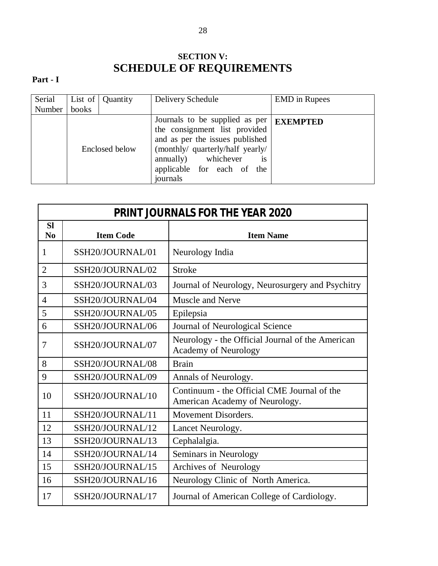# **SECTION V: SCHEDULE OF REQUIREMENTS**

## **Part - I**

| Serial |       | List of $\sqrt{\frac{2}{1}}$ Quantity | Delivery Schedule                                                                                                                                                                                                    | <b>EMD</b> in Rupees |
|--------|-------|---------------------------------------|----------------------------------------------------------------------------------------------------------------------------------------------------------------------------------------------------------------------|----------------------|
| Number | books | Enclosed below                        | Journals to be supplied as per<br>the consignment list provided<br>and as per the issues published<br>(monthly/ quarterly/half yearly/<br>annually) whichever<br><i>is</i><br>applicable for each of the<br>journals | <b>EXEMPTED</b>      |

| <b>PRINT JOURNALS FOR THE YEAR 2020</b> |                                      |                                                                                 |  |  |  |
|-----------------------------------------|--------------------------------------|---------------------------------------------------------------------------------|--|--|--|
| <b>Sl</b><br>No                         | <b>Item Code</b><br><b>Item Name</b> |                                                                                 |  |  |  |
| 1                                       | SSH20/JOURNAL/01                     | Neurology India                                                                 |  |  |  |
| $\overline{2}$                          | SSH20/JOURNAL/02                     | <b>Stroke</b>                                                                   |  |  |  |
| 3                                       | SSH20/JOURNAL/03                     | Journal of Neurology, Neurosurgery and Psychitry                                |  |  |  |
| $\overline{4}$                          | SSH20/JOURNAL/04                     | Muscle and Nerve                                                                |  |  |  |
| 5                                       | SSH20/JOURNAL/05                     | Epilepsia                                                                       |  |  |  |
| 6                                       | SSH20/JOURNAL/06                     | Journal of Neurological Science                                                 |  |  |  |
| 7                                       | SSH20/JOURNAL/07                     | Neurology - the Official Journal of the American<br><b>Academy of Neurology</b> |  |  |  |
| 8                                       | SSH20/JOURNAL/08                     | <b>Brain</b>                                                                    |  |  |  |
| 9                                       | SSH20/JOURNAL/09                     | Annals of Neurology.                                                            |  |  |  |
| 10                                      | SSH20/JOURNAL/10                     | Continuum - the Official CME Journal of the<br>American Academy of Neurology.   |  |  |  |
| 11                                      | SSH20/JOURNAL/11                     | Movement Disorders.                                                             |  |  |  |
| 12                                      | SSH20/JOURNAL/12                     | Lancet Neurology.                                                               |  |  |  |
| 13                                      | SSH20/JOURNAL/13                     | Cephalalgia.                                                                    |  |  |  |
| 14                                      | SSH20/JOURNAL/14                     | Seminars in Neurology                                                           |  |  |  |
| 15                                      | SSH20/JOURNAL/15                     | Archives of Neurology                                                           |  |  |  |
| 16                                      | SSH20/JOURNAL/16                     | Neurology Clinic of North America.                                              |  |  |  |
| 17                                      | SSH20/JOURNAL/17                     | Journal of American College of Cardiology.                                      |  |  |  |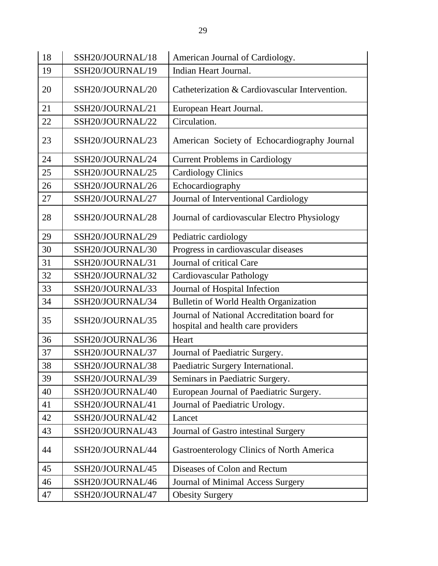| 18 | SSH20/JOURNAL/18 | American Journal of Cardiology.                                                   |  |
|----|------------------|-----------------------------------------------------------------------------------|--|
| 19 | SSH20/JOURNAL/19 | Indian Heart Journal.                                                             |  |
| 20 | SSH20/JOURNAL/20 | Catheterization & Cardiovascular Intervention.                                    |  |
| 21 | SSH20/JOURNAL/21 | European Heart Journal.                                                           |  |
| 22 | SSH20/JOURNAL/22 | Circulation.                                                                      |  |
| 23 | SSH20/JOURNAL/23 | American Society of Echocardiography Journal                                      |  |
| 24 | SSH20/JOURNAL/24 | <b>Current Problems in Cardiology</b>                                             |  |
| 25 | SSH20/JOURNAL/25 | <b>Cardiology Clinics</b>                                                         |  |
| 26 | SSH20/JOURNAL/26 | Echocardiography                                                                  |  |
| 27 | SSH20/JOURNAL/27 | Journal of Interventional Cardiology                                              |  |
| 28 | SSH20/JOURNAL/28 | Journal of cardiovascular Electro Physiology                                      |  |
| 29 | SSH20/JOURNAL/29 | Pediatric cardiology                                                              |  |
| 30 | SSH20/JOURNAL/30 | Progress in cardiovascular diseases                                               |  |
| 31 | SSH20/JOURNAL/31 | Journal of critical Care                                                          |  |
| 32 | SSH20/JOURNAL/32 | Cardiovascular Pathology                                                          |  |
| 33 | SSH20/JOURNAL/33 | Journal of Hospital Infection                                                     |  |
| 34 | SSH20/JOURNAL/34 | Bulletin of World Health Organization                                             |  |
| 35 | SSH20/JOURNAL/35 | Journal of National Accreditation board for<br>hospital and health care providers |  |
| 36 | SSH20/JOURNAL/36 | Heart                                                                             |  |
| 37 | SSH20/JOURNAL/37 | Journal of Paediatric Surgery.                                                    |  |
| 38 | SSH20/JOURNAL/38 | Paediatric Surgery International.                                                 |  |
| 39 | SSH20/JOURNAL/39 | Seminars in Paediatric Surgery.                                                   |  |
| 40 | SSH20/JOURNAL/40 | European Journal of Paediatric Surgery.                                           |  |
| 41 | SSH20/JOURNAL/41 | Journal of Paediatric Urology.                                                    |  |
| 42 | SSH20/JOURNAL/42 | Lancet                                                                            |  |
| 43 | SSH20/JOURNAL/43 | Journal of Gastro intestinal Surgery                                              |  |
| 44 | SSH20/JOURNAL/44 | <b>Gastroenterology Clinics of North America</b>                                  |  |
| 45 | SSH20/JOURNAL/45 | Diseases of Colon and Rectum                                                      |  |
| 46 | SSH20/JOURNAL/46 | Journal of Minimal Access Surgery                                                 |  |
| 47 | SSH20/JOURNAL/47 | <b>Obesity Surgery</b>                                                            |  |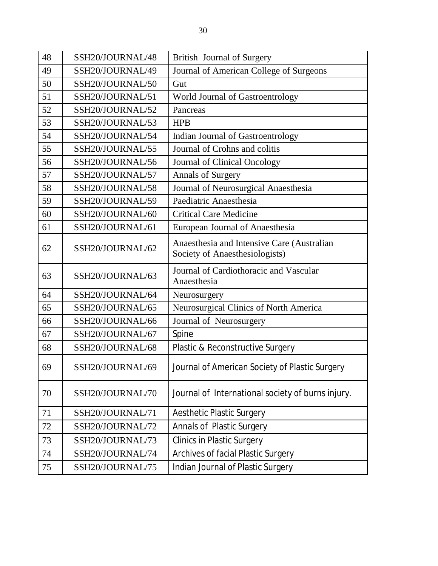| 48 | SSH20/JOURNAL/48 | British Journal of Surgery                                                   |  |
|----|------------------|------------------------------------------------------------------------------|--|
| 49 | SSH20/JOURNAL/49 | Journal of American College of Surgeons                                      |  |
| 50 | SSH20/JOURNAL/50 | Gut                                                                          |  |
| 51 | SSH20/JOURNAL/51 | World Journal of Gastroentrology                                             |  |
| 52 | SSH20/JOURNAL/52 | Pancreas                                                                     |  |
| 53 | SSH20/JOURNAL/53 | <b>HPB</b>                                                                   |  |
| 54 | SSH20/JOURNAL/54 | Indian Journal of Gastroentrology                                            |  |
| 55 | SSH20/JOURNAL/55 | Journal of Crohns and colitis                                                |  |
| 56 | SSH20/JOURNAL/56 | Journal of Clinical Oncology                                                 |  |
| 57 | SSH20/JOURNAL/57 | <b>Annals of Surgery</b>                                                     |  |
| 58 | SSH20/JOURNAL/58 | Journal of Neurosurgical Anaesthesia                                         |  |
| 59 | SSH20/JOURNAL/59 | Paediatric Anaesthesia                                                       |  |
| 60 | SSH20/JOURNAL/60 | <b>Critical Care Medicine</b>                                                |  |
| 61 | SSH20/JOURNAL/61 | European Journal of Anaesthesia                                              |  |
| 62 | SSH20/JOURNAL/62 | Anaesthesia and Intensive Care (Australian<br>Society of Anaesthesiologists) |  |
|    |                  |                                                                              |  |
| 63 | SSH20/JOURNAL/63 | Journal of Cardiothoracic and Vascular<br>Anaesthesia                        |  |
| 64 | SSH20/JOURNAL/64 | Neurosurgery                                                                 |  |
| 65 | SSH20/JOURNAL/65 | Neurosurgical Clinics of North America                                       |  |
| 66 | SSH20/JOURNAL/66 | Journal of Neurosurgery                                                      |  |
| 67 | SSH20/JOURNAL/67 | Spine                                                                        |  |
| 68 | SSH20/JOURNAL/68 | <b>Plastic &amp; Reconstructive Surgery</b>                                  |  |
| 69 | SSH20/JOURNAL/69 | Journal of American Society of Plastic Surgery                               |  |
| 70 | SSH20/JOURNAL/70 | Journal of International society of burns injury.                            |  |
| 71 | SSH20/JOURNAL/71 | <b>Aesthetic Plastic Surgery</b>                                             |  |
| 72 | SSH20/JOURNAL/72 | Annals of Plastic Surgery                                                    |  |
| 73 | SSH20/JOURNAL/73 | <b>Clinics in Plastic Surgery</b>                                            |  |
| 74 | SSH20/JOURNAL/74 | Archives of facial Plastic Surgery                                           |  |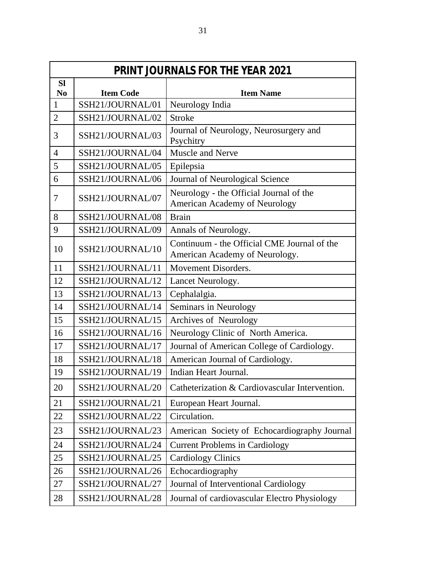|                             | <b>PRINT JOURNALS FOR THE YEAR 2021</b> |                                                                               |  |  |
|-----------------------------|-----------------------------------------|-------------------------------------------------------------------------------|--|--|
| <b>Sl</b><br>N <sub>0</sub> | <b>Item Code</b>                        | <b>Item Name</b>                                                              |  |  |
| $\mathbf{1}$                | SSH21/JOURNAL/01                        | Neurology India                                                               |  |  |
| $\overline{2}$              | SSH21/JOURNAL/02                        | <b>Stroke</b>                                                                 |  |  |
| 3                           | SSH21/JOURNAL/03                        | Journal of Neurology, Neurosurgery and<br>Psychitry                           |  |  |
| $\overline{4}$              | SSH21/JOURNAL/04                        | Muscle and Nerve                                                              |  |  |
| 5                           | SSH21/JOURNAL/05                        | Epilepsia                                                                     |  |  |
| 6                           | SSH21/JOURNAL/06                        | Journal of Neurological Science                                               |  |  |
| 7                           | SSH21/JOURNAL/07                        | Neurology - the Official Journal of the<br>American Academy of Neurology      |  |  |
| 8                           | SSH21/JOURNAL/08                        | <b>Brain</b>                                                                  |  |  |
| 9                           | SSH21/JOURNAL/09                        | Annals of Neurology.                                                          |  |  |
| 10                          | SSH21/JOURNAL/10                        | Continuum - the Official CME Journal of the<br>American Academy of Neurology. |  |  |
| 11                          | SSH21/JOURNAL/11                        | Movement Disorders.                                                           |  |  |
| 12                          | SSH21/JOURNAL/12                        | Lancet Neurology.                                                             |  |  |
| 13                          | SSH21/JOURNAL/13                        | Cephalalgia.                                                                  |  |  |
| 14                          | SSH21/JOURNAL/14                        | Seminars in Neurology                                                         |  |  |
| 15                          | SSH21/JOURNAL/15                        | Archives of Neurology                                                         |  |  |
| 16                          | SSH21/JOURNAL/16                        | Neurology Clinic of North America.                                            |  |  |
| 17                          | SSH21/JOURNAL/17                        | Journal of American College of Cardiology.                                    |  |  |
| 18                          | SSH21/JOURNAL/18                        | American Journal of Cardiology.                                               |  |  |
| 19                          | SSH21/JOURNAL/19                        | Indian Heart Journal.                                                         |  |  |
| 20                          | SSH21/JOURNAL/20                        | Catheterization & Cardiovascular Intervention.                                |  |  |
| 21                          | SSH21/JOURNAL/21                        | European Heart Journal.                                                       |  |  |
| 22                          | SSH21/JOURNAL/22                        | Circulation.                                                                  |  |  |
| 23                          | SSH21/JOURNAL/23                        | American Society of Echocardiography Journal                                  |  |  |
| 24                          | SSH21/JOURNAL/24                        | <b>Current Problems in Cardiology</b>                                         |  |  |
| 25                          | SSH21/JOURNAL/25                        | <b>Cardiology Clinics</b>                                                     |  |  |
| 26                          | SSH21/JOURNAL/26                        | Echocardiography                                                              |  |  |
| 27                          | SSH21/JOURNAL/27                        | Journal of Interventional Cardiology                                          |  |  |
| 28                          | SSH21/JOURNAL/28                        | Journal of cardiovascular Electro Physiology                                  |  |  |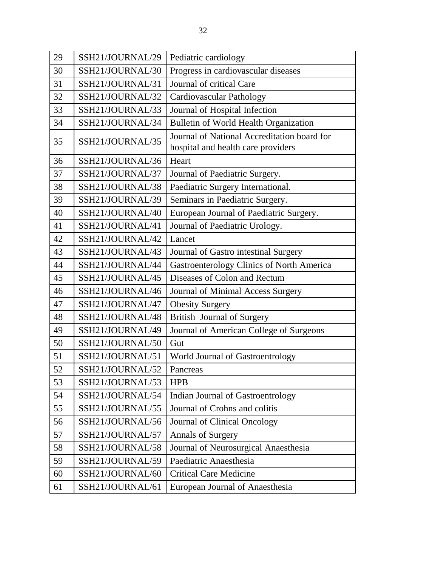| 29 | SSH21/JOURNAL/29 | Pediatric cardiology                                                              |
|----|------------------|-----------------------------------------------------------------------------------|
| 30 | SSH21/JOURNAL/30 | Progress in cardiovascular diseases                                               |
| 31 | SSH21/JOURNAL/31 | Journal of critical Care                                                          |
| 32 | SSH21/JOURNAL/32 | <b>Cardiovascular Pathology</b>                                                   |
| 33 | SSH21/JOURNAL/33 | Journal of Hospital Infection                                                     |
| 34 | SSH21/JOURNAL/34 | <b>Bulletin of World Health Organization</b>                                      |
| 35 | SSH21/JOURNAL/35 | Journal of National Accreditation board for<br>hospital and health care providers |
| 36 | SSH21/JOURNAL/36 | Heart                                                                             |
| 37 | SSH21/JOURNAL/37 | Journal of Paediatric Surgery.                                                    |
| 38 | SSH21/JOURNAL/38 | Paediatric Surgery International.                                                 |
| 39 | SSH21/JOURNAL/39 | Seminars in Paediatric Surgery.                                                   |
| 40 | SSH21/JOURNAL/40 | European Journal of Paediatric Surgery.                                           |
| 41 | SSH21/JOURNAL/41 | Journal of Paediatric Urology.                                                    |
| 42 | SSH21/JOURNAL/42 | Lancet                                                                            |
| 43 | SSH21/JOURNAL/43 | Journal of Gastro intestinal Surgery                                              |
| 44 | SSH21/JOURNAL/44 | <b>Gastroenterology Clinics of North America</b>                                  |
| 45 | SSH21/JOURNAL/45 | Diseases of Colon and Rectum                                                      |
|    |                  |                                                                                   |
| 46 | SSH21/JOURNAL/46 | Journal of Minimal Access Surgery                                                 |
| 47 | SSH21/JOURNAL/47 | <b>Obesity Surgery</b>                                                            |
| 48 | SSH21/JOURNAL/48 | British Journal of Surgery                                                        |
| 49 | SSH21/JOURNAL/49 | Journal of American College of Surgeons                                           |
| 50 | SSH21/JOURNAL/50 | Gut                                                                               |
| 51 | SSH21/JOURNAL/51 | World Journal of Gastroentrology                                                  |
| 52 | SSH21/JOURNAL/52 | Pancreas                                                                          |
| 53 | SSH21/JOURNAL/53 | <b>HPB</b>                                                                        |
| 54 | SSH21/JOURNAL/54 | Indian Journal of Gastroentrology                                                 |
| 55 | SSH21/JOURNAL/55 | Journal of Crohns and colitis                                                     |
| 56 | SSH21/JOURNAL/56 | Journal of Clinical Oncology                                                      |
| 57 | SSH21/JOURNAL/57 | Annals of Surgery                                                                 |
| 58 | SSH21/JOURNAL/58 | Journal of Neurosurgical Anaesthesia                                              |
| 59 | SSH21/JOURNAL/59 | Paediatric Anaesthesia                                                            |
| 60 | SSH21/JOURNAL/60 | <b>Critical Care Medicine</b>                                                     |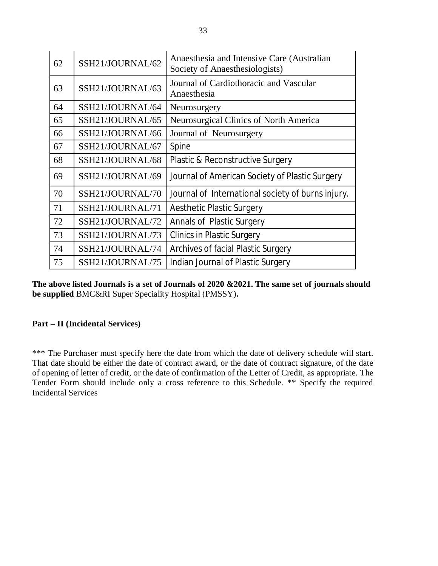| 62 | SSH21/JOURNAL/62 | Anaesthesia and Intensive Care (Australian<br>Society of Anaesthesiologists) |
|----|------------------|------------------------------------------------------------------------------|
| 63 | SSH21/JOURNAL/63 | Journal of Cardiothoracic and Vascular<br>Anaesthesia                        |
| 64 | SSH21/JOURNAL/64 | Neurosurgery                                                                 |
| 65 | SSH21/JOURNAL/65 | Neurosurgical Clinics of North America                                       |
| 66 | SSH21/JOURNAL/66 | Journal of Neurosurgery                                                      |
| 67 | SSH21/JOURNAL/67 | Spine                                                                        |
| 68 | SSH21/JOURNAL/68 | Plastic & Reconstructive Surgery                                             |
| 69 | SSH21/JOURNAL/69 | Journal of American Society of Plastic Surgery                               |
| 70 | SSH21/JOURNAL/70 | Journal of International society of burns injury.                            |
| 71 | SSH21/JOURNAL/71 | <b>Aesthetic Plastic Surgery</b>                                             |
| 72 | SSH21/JOURNAL/72 | Annals of Plastic Surgery                                                    |
| 73 | SSH21/JOURNAL/73 | <b>Clinics in Plastic Surgery</b>                                            |
| 74 | SSH21/JOURNAL/74 | Archives of facial Plastic Surgery                                           |
| 75 | SSH21/JOURNAL/75 | Indian Journal of Plastic Surgery                                            |

**The above listed Journals is a set of Journals of 2020 &2021. The same set of journals should be supplied** BMC&RI Super Speciality Hospital (PMSSY)**.**

## **Part – II (Incidental Services)**

\*\*\* The Purchaser must specify here the date from which the date of delivery schedule will start. That date should be either the date of contract award, or the date of contract signature, of the date of opening of letter of credit, or the date of confirmation of the Letter of Credit, as appropriate. The Tender Form should include only a cross reference to this Schedule. \*\* Specify the required Incidental Services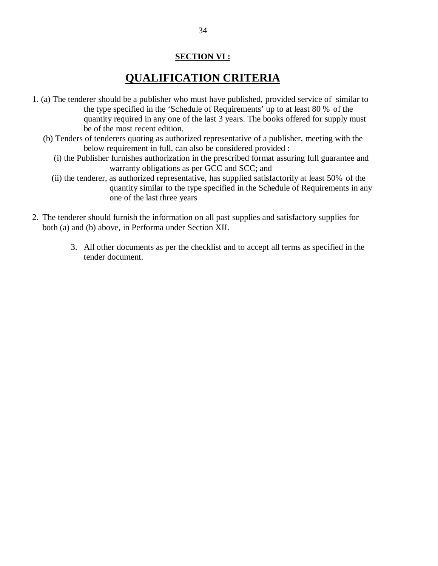### **SECTION VI :**

# **QUALIFICATION CRITERIA**

- 1. (a) The tenderer should be a publisher who must have published, provided service of similar to the type specified in the 'Schedule of Requirements' up to at least 80 % of the quantity required in any one of the last 3 years. The books offered for supply must be of the most recent edition.
	- (b) Tenders of tenderers quoting as authorized representative of a publisher, meeting with the below requirement in full, can also be considered provided :
		- (i) the Publisher furnishes authorization in the prescribed format assuring full guarantee and warranty obligations as per GCC and SCC; and
		- (ii) the tenderer, as authorized representative, has supplied satisfactorily at least 50% of the quantity similar to the type specified in the Schedule of Requirements in any one of the last three years
- 2. The tenderer should furnish the information on all past supplies and satisfactory supplies for both (a) and (b) above, in Performa under Section XII.
	- 3. All other documents as per the checklist and to accept all terms as specified in the tender document.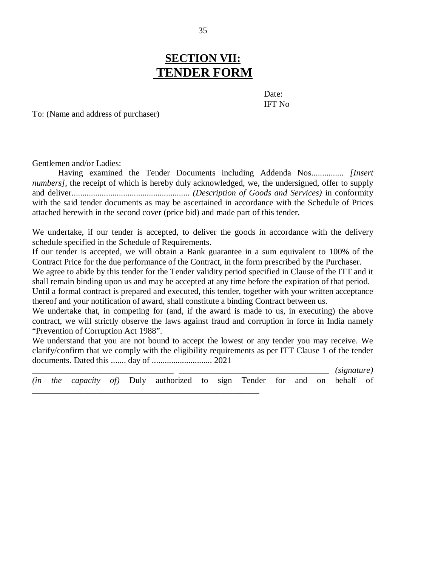Date: IFT No

To: (Name and address of purchaser)

Gentlemen and/or Ladies:

Having examined the Tender Documents including Addenda Nos............... *[Insert numbers]*, the receipt of which is hereby duly acknowledged, we, the undersigned, offer to supply and deliver....................................................... *(Description of Goods and Services)* in conformity with the said tender documents as may be ascertained in accordance with the Schedule of Prices attached herewith in the second cover (price bid) and made part of this tender.

We undertake, if our tender is accepted, to deliver the goods in accordance with the delivery schedule specified in the Schedule of Requirements.

If our tender is accepted, we will obtain a Bank guarantee in a sum equivalent to 100% of the Contract Price for the due performance of the Contract, in the form prescribed by the Purchaser.

We agree to abide by this tender for the Tender validity period specified in Clause of the ITT and it shall remain binding upon us and may be accepted at any time before the expiration of that period.

Until a formal contract is prepared and executed, this tender, together with your written acceptance thereof and your notification of award, shall constitute a binding Contract between us.

We undertake that, in competing for (and, if the award is made to us, in executing) the above contract, we will strictly observe the laws against fraud and corruption in force in India namely "Prevention of Corruption Act 1988".

We understand that you are not bound to accept the lowest or any tender you may receive. We clarify/confirm that we comply with the eligibility requirements as per ITT Clause 1 of the tender documents. Dated this ....... day of ............................ 2021

 $(jisinature)$ *(in the capacity of)* Duly authorized to sign Tender for and on behalf of \_\_\_\_\_\_\_\_\_\_\_\_\_\_\_\_\_\_\_\_\_\_\_\_\_\_\_\_\_\_\_\_\_\_\_\_\_\_\_\_\_\_\_\_\_\_\_\_\_\_\_\_\_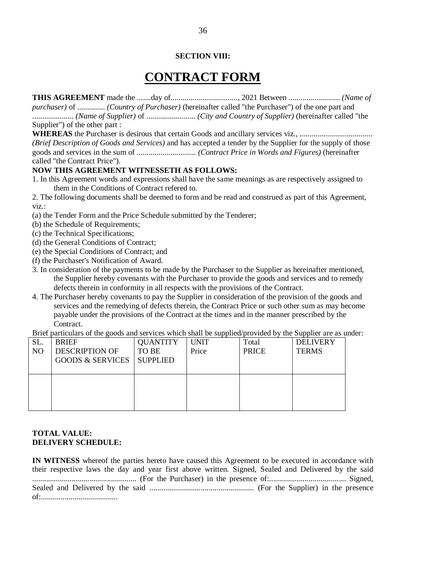#### **SECTION VIII:**

# **CONTRACT FORM**

**THIS AGREEMENT** made the .......day of.................................., 2021 Between .......................... *(Name of purchaser)* of .............. *(Country of Purchaser)* (hereinafter called "the Purchaser") of the one part and ..................... *(Name of Supplier)* of ......................... *(City and Country of Supplier)* (hereinafter called "the Supplier") of the other part :

**WHEREAS** the Purchaser is desirous that certain Goods and ancillary services viz., ..................................... *(Brief Description of Goods and Services)* and has accepted a tender by the Supplier for the supply of those goods and services in the sum of .............................. *(Contract Price in Words and Figures)* (hereinafter called "the Contract Price").

#### **NOW THIS AGREEMENT WITNESSETH AS FOLLOWS:**

1. In this Agreement words and expressions shall have the same meanings as are respectively assigned to them in the Conditions of Contract refered to.

2. The following documents shall be deemed to form and be read and construed as part of this Agreement, viz.:

- (a) the Tender Form and the Price Schedule submitted by the Tenderer;
- (b) the Schedule of Requirements;
- (c) the Technical Specifications;
- (d) the General Conditions of Contract;
- (e) the Special Conditions of Contract; and
- (f) the Purchaser's Notification of Award.
- 3. In consideration of the payments to be made by the Purchaser to the Supplier as hereinafter mentioned, the Supplier hereby covenants with the Purchaser to provide the goods and services and to remedy defects therein in conformity in all respects with the provisions of the Contract.
- 4. The Purchaser hereby covenants to pay the Supplier in consideration of the provision of the goods and services and the remedying of defects therein, the Contract Price or such other sum as may become payable under the provisions of the Contract at the times and in the manner prescribed by the Contract.

Brief particulars of the goods and services which shall be supplied/provided by the Supplier are as under:

| SL.            | <b>BRIEF</b>                           | <b>QUANTITY</b> | <b>UNIT</b> | Total        | <b>DELIVERY</b> |
|----------------|----------------------------------------|-----------------|-------------|--------------|-----------------|
| N <sub>O</sub> | <b>DESCRIPTION OF</b>                  | TO BE           | Price       | <b>PRICE</b> | <b>TERMS</b>    |
|                | <b>GOODS &amp; SERVICES   SUPPLIED</b> |                 |             |              |                 |
|                |                                        |                 |             |              |                 |
|                |                                        |                 |             |              |                 |
|                |                                        |                 |             |              |                 |
|                |                                        |                 |             |              |                 |
|                |                                        |                 |             |              |                 |

#### **TOTAL VALUE: DELIVERY SCHEDULE:**

**IN WITNESS** whereof the parties hereto have caused this Agreement to be executed in accordance with their respective laws the day and year first above written. Signed, Sealed and Delivered by the said ..................................................... (For the Purchaser) in the presence of:....................................... Signed, Sealed and Delivered by the said ..................................................... (For the Supplier) in the presence of:.......................................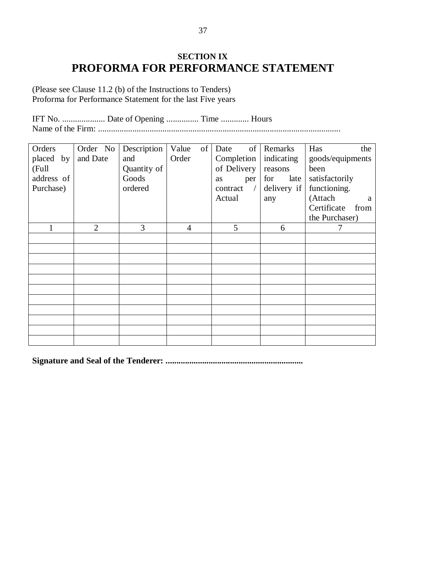## **SECTION IX PROFORMA FOR PERFORMANCE STATEMENT**

(Please see Clause 11.2 (b) of the Instructions to Tenders) Proforma for Performance Statement for the last Five years

IFT No. .................... Date of Opening ............... Time ............. Hours Name of the Firm: .................................................................................................................

| Orders<br>placed by<br>(Full<br>address of | Order No<br>and Date | Description<br>and<br>Quantity of<br>Goods | of  <br>Value<br>Order | of<br>Date<br>Completion<br>of Delivery<br>per<br>as | Remarks<br>indicating<br>reasons<br>late<br>for | Has<br>the<br>goods/equipments<br>been<br>satisfactorily |
|--------------------------------------------|----------------------|--------------------------------------------|------------------------|------------------------------------------------------|-------------------------------------------------|----------------------------------------------------------|
| Purchase)                                  |                      | ordered                                    |                        | contract<br>$\sqrt{2}$<br>Actual                     | delivery if<br>any                              | functioning.<br>(Attach<br>a                             |
|                                            |                      |                                            |                        |                                                      |                                                 | Certificate<br>from<br>the Purchaser)                    |
| $\mathbf{1}$                               | $\overline{2}$       | 3                                          | 4                      | 5                                                    | 6                                               |                                                          |
|                                            |                      |                                            |                        |                                                      |                                                 |                                                          |
|                                            |                      |                                            |                        |                                                      |                                                 |                                                          |
|                                            |                      |                                            |                        |                                                      |                                                 |                                                          |
|                                            |                      |                                            |                        |                                                      |                                                 |                                                          |
|                                            |                      |                                            |                        |                                                      |                                                 |                                                          |
|                                            |                      |                                            |                        |                                                      |                                                 |                                                          |
|                                            |                      |                                            |                        |                                                      |                                                 |                                                          |
|                                            |                      |                                            |                        |                                                      |                                                 |                                                          |
|                                            |                      |                                            |                        |                                                      |                                                 |                                                          |
|                                            |                      |                                            |                        |                                                      |                                                 |                                                          |
|                                            |                      |                                            |                        |                                                      |                                                 |                                                          |

**Signature and Seal of the Tenderer: ................................................................**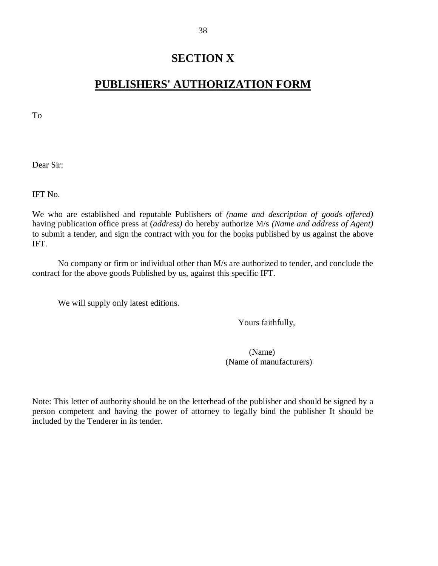# **SECTION X**

# **PUBLISHERS' AUTHORIZATION FORM**

To

Dear Sir:

IFT No.

We who are established and reputable Publishers of *(name and description of goods offered)*  having publication office press at (*address)* do hereby authorize M/s *(Name and address of Agent)*  to submit a tender, and sign the contract with you for the books published by us against the above IFT.

No company or firm or individual other than M/s are authorized to tender, and conclude the contract for the above goods Published by us, against this specific IFT.

We will supply only latest editions.

Yours faithfully,

 (Name) (Name of manufacturers)

Note: This letter of authority should be on the letterhead of the publisher and should be signed by a person competent and having the power of attorney to legally bind the publisher It should be included by the Tenderer in its tender.